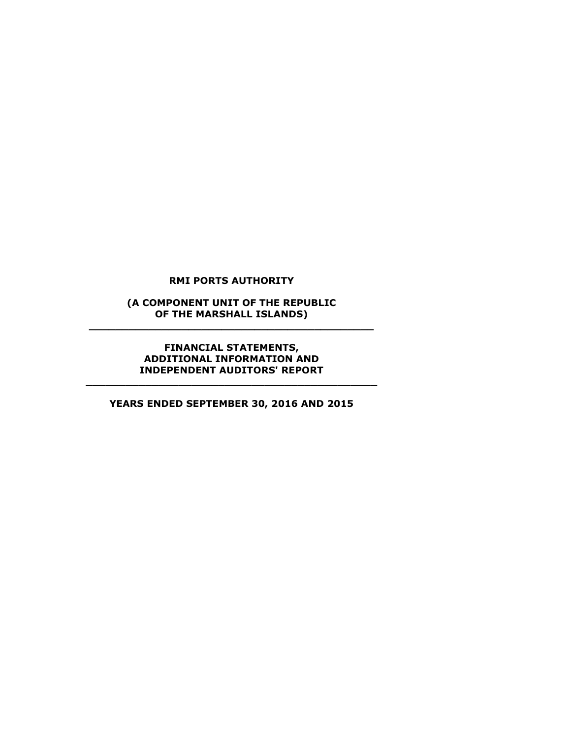# **RMI PORTS AUTHORITY**

**(A COMPONENT UNIT OF THE REPUBLIC OF THE MARSHALL ISLANDS) \_\_\_\_\_\_\_\_\_\_\_\_\_\_\_\_\_\_\_\_\_\_\_\_\_\_\_\_\_\_\_\_\_\_\_\_\_\_\_\_\_\_\_**

#### **FINANCIAL STATEMENTS, ADDITIONAL INFORMATION AND INDEPENDENT AUDITORS' REPORT**

**\_\_\_\_\_\_\_\_\_\_\_\_\_\_\_\_\_\_\_\_\_\_\_\_\_\_\_\_\_\_\_\_\_\_\_\_\_\_\_\_\_\_\_\_**

**YEARS ENDED SEPTEMBER 30, 2016 AND 2015**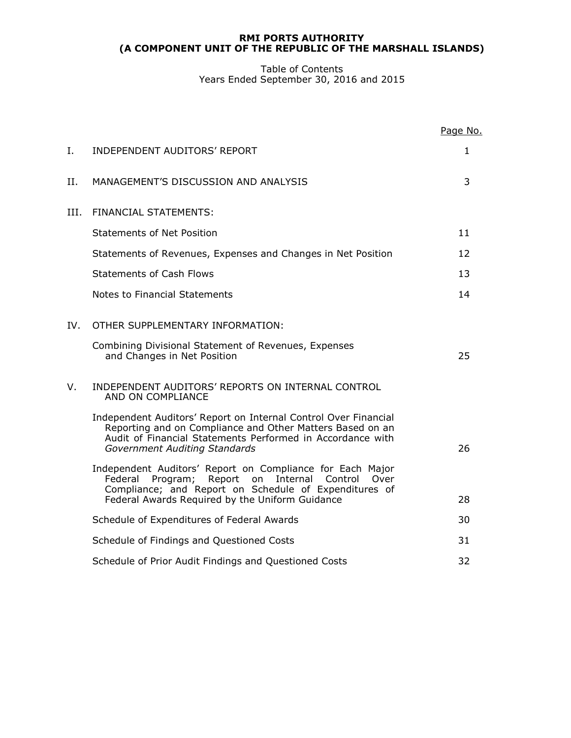# Table of Contents Years Ended September 30, 2016 and 2015

|      |                                                                                                                                                                                                                                    | Page No. |
|------|------------------------------------------------------------------------------------------------------------------------------------------------------------------------------------------------------------------------------------|----------|
| L.   | INDEPENDENT AUDITORS' REPORT                                                                                                                                                                                                       | 1        |
| Н.   | MANAGEMENT'S DISCUSSION AND ANALYSIS                                                                                                                                                                                               | 3        |
| III. | <b>FINANCIAL STATEMENTS:</b>                                                                                                                                                                                                       |          |
|      | <b>Statements of Net Position</b>                                                                                                                                                                                                  | 11       |
|      | Statements of Revenues, Expenses and Changes in Net Position                                                                                                                                                                       | 12       |
|      | <b>Statements of Cash Flows</b>                                                                                                                                                                                                    | 13       |
|      | Notes to Financial Statements                                                                                                                                                                                                      | 14       |
| IV.  | OTHER SUPPLEMENTARY INFORMATION:                                                                                                                                                                                                   |          |
|      | Combining Divisional Statement of Revenues, Expenses<br>and Changes in Net Position                                                                                                                                                | 25       |
| V.   | INDEPENDENT AUDITORS' REPORTS ON INTERNAL CONTROL<br>AND ON COMPLIANCE                                                                                                                                                             |          |
|      | Independent Auditors' Report on Internal Control Over Financial<br>Reporting and on Compliance and Other Matters Based on an<br>Audit of Financial Statements Performed in Accordance with<br><b>Government Auditing Standards</b> | 26       |
|      | Independent Auditors' Report on Compliance for Each Major<br>Program; Report on<br>Internal<br>Control<br>Federal<br>Over<br>Compliance; and Report on Schedule of Expenditures of                                                 |          |
|      | Federal Awards Required by the Uniform Guidance                                                                                                                                                                                    | 28       |
|      | Schedule of Expenditures of Federal Awards                                                                                                                                                                                         | 30       |
|      | Schedule of Findings and Questioned Costs                                                                                                                                                                                          | 31       |
|      | Schedule of Prior Audit Findings and Questioned Costs                                                                                                                                                                              | 32       |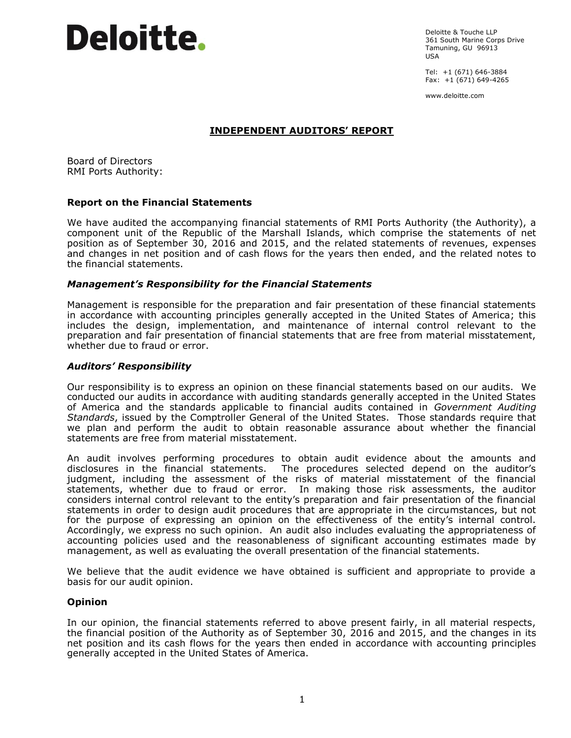# **Deloitte.**

Deloitte & Touche LLP 361 South Marine Corps Drive Tamuning, GU 96913 USA

Tel: +1 (671) 646-3884 Fax: +1 (671) 649-4265

www.deloitte.com

# **INDEPENDENT AUDITORS' REPORT**

Board of Directors RMI Ports Authority:

# **Report on the Financial Statements**

We have audited the accompanying financial statements of RMI Ports Authority (the Authority), a component unit of the Republic of the Marshall Islands, which comprise the statements of net position as of September 30, 2016 and 2015, and the related statements of revenues, expenses and changes in net position and of cash flows for the years then ended, and the related notes to the financial statements.

# *Management's Responsibility for the Financial Statements*

Management is responsible for the preparation and fair presentation of these financial statements in accordance with accounting principles generally accepted in the United States of America; this includes the design, implementation, and maintenance of internal control relevant to the preparation and fair presentation of financial statements that are free from material misstatement, whether due to fraud or error.

# *Auditors' Responsibility*

Our responsibility is to express an opinion on these financial statements based on our audits. We conducted our audits in accordance with auditing standards generally accepted in the United States of America and the standards applicable to financial audits contained in *Government Auditing Standards*, issued by the Comptroller General of the United States. Those standards require that we plan and perform the audit to obtain reasonable assurance about whether the financial statements are free from material misstatement.

An audit involves performing procedures to obtain audit evidence about the amounts and disclosures in the financial statements. The procedures selected depend on the auditor's judgment, including the assessment of the risks of material misstatement of the financial statements, whether due to fraud or error. In making those risk assessments, the auditor considers internal control relevant to the entity's preparation and fair presentation of the financial statements in order to design audit procedures that are appropriate in the circumstances, but not for the purpose of expressing an opinion on the effectiveness of the entity's internal control. Accordingly, we express no such opinion. An audit also includes evaluating the appropriateness of accounting policies used and the reasonableness of significant accounting estimates made by management, as well as evaluating the overall presentation of the financial statements.

We believe that the audit evidence we have obtained is sufficient and appropriate to provide a basis for our audit opinion.

# **Opinion**

In our opinion, the financial statements referred to above present fairly, in all material respects, the financial position of the Authority as of September 30, 2016 and 2015, and the changes in its net position and its cash flows for the years then ended in accordance with accounting principles generally accepted in the United States of America.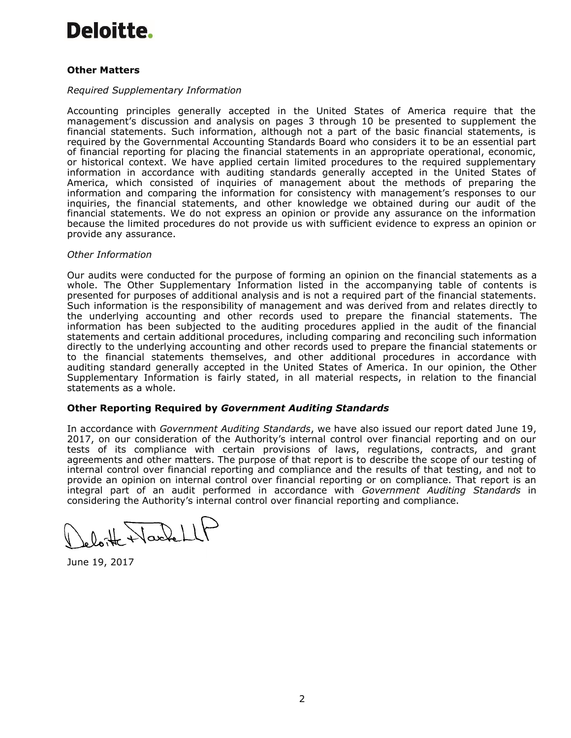# Deloitte.

# **Other Matters**

# *Required Supplementary Information*

Accounting principles generally accepted in the United States of America require that the management's discussion and analysis on pages 3 through 10 be presented to supplement the financial statements. Such information, although not a part of the basic financial statements, is required by the Governmental Accounting Standards Board who considers it to be an essential part of financial reporting for placing the financial statements in an appropriate operational, economic, or historical context. We have applied certain limited procedures to the required supplementary information in accordance with auditing standards generally accepted in the United States of America, which consisted of inquiries of management about the methods of preparing the information and comparing the information for consistency with management's responses to our inquiries, the financial statements, and other knowledge we obtained during our audit of the financial statements. We do not express an opinion or provide any assurance on the information because the limited procedures do not provide us with sufficient evidence to express an opinion or provide any assurance.

#### *Other Information*

Our audits were conducted for the purpose of forming an opinion on the financial statements as a whole. The Other Supplementary Information listed in the accompanying table of contents is presented for purposes of additional analysis and is not a required part of the financial statements. Such information is the responsibility of management and was derived from and relates directly to the underlying accounting and other records used to prepare the financial statements. The information has been subjected to the auditing procedures applied in the audit of the financial statements and certain additional procedures, including comparing and reconciling such information directly to the underlying accounting and other records used to prepare the financial statements or to the financial statements themselves, and other additional procedures in accordance with auditing standard generally accepted in the United States of America. In our opinion, the Other Supplementary Information is fairly stated, in all material respects, in relation to the financial statements as a whole.

# **Other Reporting Required by** *Government Auditing Standards*

In accordance with *Government Auditing Standards*, we have also issued our report dated June 19, 2017, on our consideration of the Authority's internal control over financial reporting and on our tests of its compliance with certain provisions of laws, regulations, contracts, and grant agreements and other matters. The purpose of that report is to describe the scope of our testing of internal control over financial reporting and compliance and the results of that testing, and not to provide an opinion on internal control over financial reporting or on compliance. That report is an integral part of an audit performed in accordance with *Government Auditing Standards* in considering the Authority's internal control over financial reporting and compliance.

O. H Harlell

June 19, 2017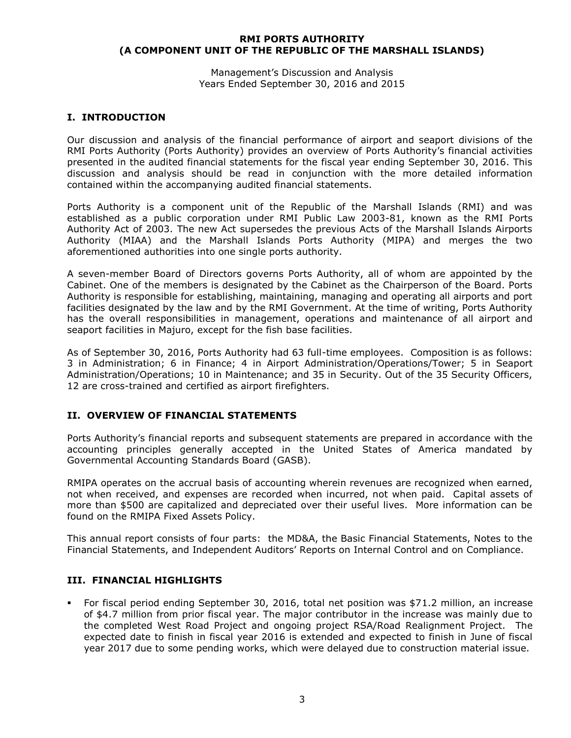Management's Discussion and Analysis Years Ended September 30, 2016 and 2015

# **I. INTRODUCTION**

Our discussion and analysis of the financial performance of airport and seaport divisions of the RMI Ports Authority (Ports Authority) provides an overview of Ports Authority's financial activities presented in the audited financial statements for the fiscal year ending September 30, 2016. This discussion and analysis should be read in conjunction with the more detailed information contained within the accompanying audited financial statements.

Ports Authority is a component unit of the Republic of the Marshall Islands (RMI) and was established as a public corporation under RMI Public Law 2003-81, known as the RMI Ports Authority Act of 2003. The new Act supersedes the previous Acts of the Marshall Islands Airports Authority (MIAA) and the Marshall Islands Ports Authority (MIPA) and merges the two aforementioned authorities into one single ports authority.

A seven-member Board of Directors governs Ports Authority, all of whom are appointed by the Cabinet. One of the members is designated by the Cabinet as the Chairperson of the Board. Ports Authority is responsible for establishing, maintaining, managing and operating all airports and port facilities designated by the law and by the RMI Government. At the time of writing, Ports Authority has the overall responsibilities in management, operations and maintenance of all airport and seaport facilities in Majuro, except for the fish base facilities.

As of September 30, 2016, Ports Authority had 63 full-time employees. Composition is as follows: 3 in Administration; 6 in Finance; 4 in Airport Administration/Operations/Tower; 5 in Seaport Administration/Operations; 10 in Maintenance; and 35 in Security. Out of the 35 Security Officers, 12 are cross-trained and certified as airport firefighters.

# **II. OVERVIEW OF FINANCIAL STATEMENTS**

Ports Authority's financial reports and subsequent statements are prepared in accordance with the accounting principles generally accepted in the United States of America mandated by Governmental Accounting Standards Board (GASB).

RMIPA operates on the accrual basis of accounting wherein revenues are recognized when earned, not when received, and expenses are recorded when incurred, not when paid. Capital assets of more than \$500 are capitalized and depreciated over their useful lives. More information can be found on the RMIPA Fixed Assets Policy.

This annual report consists of four parts: the MD&A, the Basic Financial Statements, Notes to the Financial Statements, and Independent Auditors' Reports on Internal Control and on Compliance.

# **III. FINANCIAL HIGHLIGHTS**

 For fiscal period ending September 30, 2016, total net position was \$71.2 million, an increase of \$4.7 million from prior fiscal year. The major contributor in the increase was mainly due to the completed West Road Project and ongoing project RSA/Road Realignment Project. The expected date to finish in fiscal year 2016 is extended and expected to finish in June of fiscal year 2017 due to some pending works, which were delayed due to construction material issue.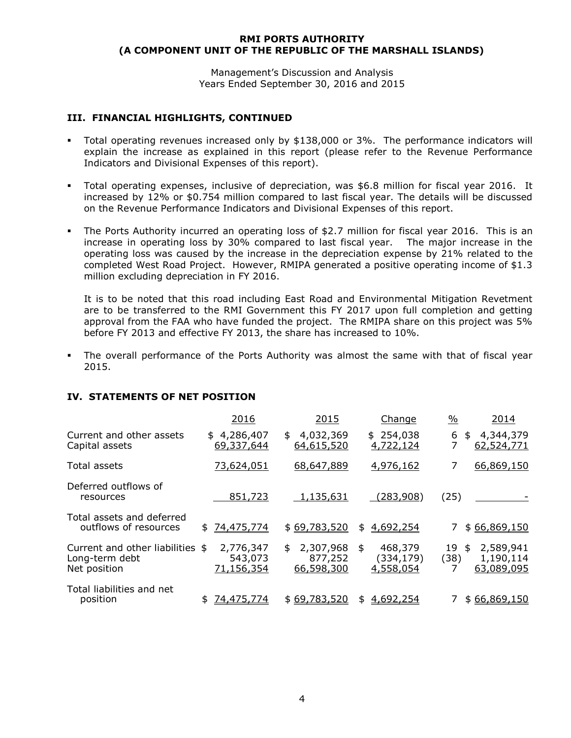Management's Discussion and Analysis Years Ended September 30, 2016 and 2015

# **III. FINANCIAL HIGHLIGHTS, CONTINUED**

- Total operating revenues increased only by \$138,000 or 3%. The performance indicators will explain the increase as explained in this report (please refer to the Revenue Performance Indicators and Divisional Expenses of this report).
- Total operating expenses, inclusive of depreciation, was \$6.8 million for fiscal year 2016. It increased by 12% or \$0.754 million compared to last fiscal year. The details will be discussed on the Revenue Performance Indicators and Divisional Expenses of this report.
- The Ports Authority incurred an operating loss of \$2.7 million for fiscal year 2016. This is an increase in operating loss by 30% compared to last fiscal year. The major increase in the operating loss was caused by the increase in the depreciation expense by 21% related to the completed West Road Project. However, RMIPA generated a positive operating income of \$1.3 million excluding depreciation in FY 2016.

It is to be noted that this road including East Road and Environmental Mitigation Revetment are to be transferred to the RMI Government this FY 2017 upon full completion and getting approval from the FAA who have funded the project. The RMIPA share on this project was 5% before FY 2013 and effective FY 2013, the share has increased to 10%.

 The overall performance of the Ports Authority was almost the same with that of fiscal year 2015.

# **IV. STATEMENTS OF NET POSITION**

|                                                                    |    | 2016                               | 2015                                     | Change                                   | $\frac{0}{0}$ | 2014                                       |
|--------------------------------------------------------------------|----|------------------------------------|------------------------------------------|------------------------------------------|---------------|--------------------------------------------|
| Current and other assets<br>Capital assets                         |    | \$4,286,407<br>69,337,644          | \$<br>4,032,369<br>64,615,520            | 254,038<br>\$<br>4,722,124               | 6             | \$<br>4,344,379<br>62,524,771              |
| Total assets                                                       |    | 73,624,051                         | 68,647,889                               | 4,976,162                                | 7             | 66,869,150                                 |
| Deferred outflows of<br>resources                                  |    | 851,723                            | 1,135,631                                | (283,908)                                | (25)          |                                            |
| Total assets and deferred<br>outflows of resources                 | \$ | <u>74,475,774</u>                  | \$69,783,520                             | \$<br>4,692,254                          |               | \$66,869,150                               |
| Current and other liabilities \$<br>Long-term debt<br>Net position |    | 2,776,347<br>543,073<br>71,156,354 | \$<br>2,307,968<br>877,252<br>66,598,300 | \$<br>468,379<br>(334, 179)<br>4,558,054 | 19<br>(38)    | \$<br>2,589,941<br>1,190,114<br>63,089,095 |
| Total liabilities and net<br>position                              | S  | <u>74,475,774</u>                  | \$69,783,520                             | \$<br><u>4,692,254</u>                   |               | \$66,869,150                               |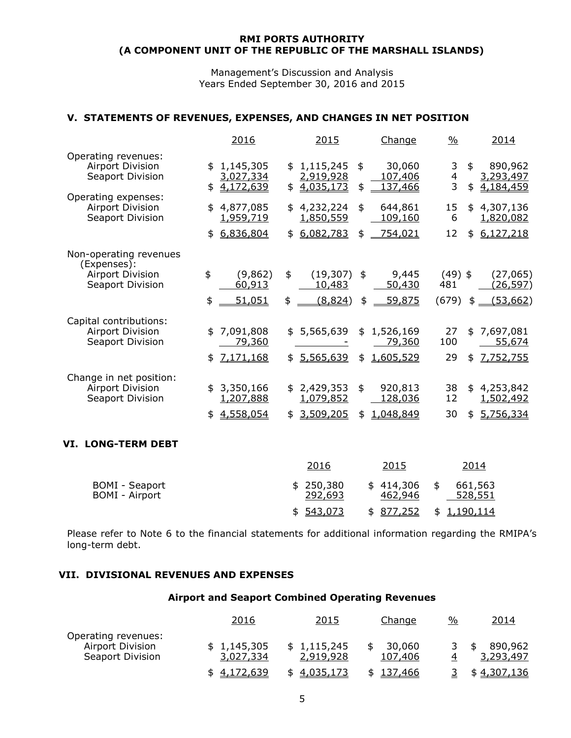Management's Discussion and Analysis Years Ended September 30, 2016 and 2015

# **V. STATEMENTS OF REVENUES, EXPENSES, AND CHANGES IN NET POSITION**

|                                                                 |          | 2016                                |          | 2015                                |          | Change                          | $\frac{0}{0}$    |          | 2014                                |
|-----------------------------------------------------------------|----------|-------------------------------------|----------|-------------------------------------|----------|---------------------------------|------------------|----------|-------------------------------------|
| Operating revenues:<br>Airport Division<br>Seaport Division     | \$<br>\$ | 1,145,305<br>3,027,334<br>4,172,639 | \$<br>\$ | 1,115,245<br>2,919,928<br>4,035,173 | \$<br>\$ | 30,060<br>107,406<br>137,466    | 3<br>4<br>3      | \$<br>\$ | 890,962<br>3,293,497<br>4,184,459   |
| Operating expenses:<br>Airport Division<br>Seaport Division     | \$       | 4,877,085<br>1,959,719              | \$       | 4,232,224<br>1,850,559              | \$       | 644,861<br>109,160              | 15<br>6          | \$       | 4,307,136<br>1,820,082              |
|                                                                 | \$       | 6,836,804                           | \$       | 6,082,783                           | \$       | 754,021                         | 12               | \$       | 6,127,218                           |
| Non-operating revenues<br>(Expenses):                           |          |                                     |          |                                     |          |                                 |                  |          |                                     |
| Airport Division<br>Seaport Division                            | \$       | (9,862)<br>60,913                   | \$       | (19, 307)<br>10,483                 | \$       | 9,445<br>50,430                 | $(49)$ \$<br>481 |          | (27,065)<br><u>(26,597)</u>         |
|                                                                 | \$       | 51,051                              | \$       | (8,824)                             | \$       | 59,875                          | (679)            |          | (53, 662)<br>$\frac{1}{2}$          |
| Capital contributions:<br>Airport Division<br>Seaport Division  | \$       | 7,091,808<br>79,360                 | \$       | 5,565,639                           | \$       | 1,526,169<br>79,360             | 27<br>100        | \$       | 7,697,081<br>55,674                 |
|                                                                 | \$       | 7,171,168                           | \$       | 5,565,639                           | \$       | 1,605,529                       | 29               | \$       | 7,752,755                           |
| Change in net position:<br>Airport Division<br>Seaport Division | \$<br>\$ | 3,350,166<br>1,207,888<br>4,558,054 | \$<br>\$ | 2,429,353<br>1,079,852<br>3,509,205 | \$<br>\$ | 920,813<br>128,036<br>1,048,849 | 38<br>12<br>30   | \$<br>\$ | 4,253,842<br>1,502,492<br>5,756,334 |
| <b>VI. LONG-TERM DEBT</b>                                       |          |                                     |          |                                     |          |                                 |                  |          |                                     |
|                                                                 |          |                                     |          | 2016                                |          | 2015                            |                  |          | 2014                                |
| <b>BOMI</b> - Seaport<br><b>BOMI</b> - Airport                  |          |                                     |          | 250,380<br>\$<br>292,693            |          | 414,306<br>\$<br>462,946        | \$               |          | 661,563<br>528,551                  |
|                                                                 |          |                                     |          | 543,073<br>\$                       |          | 877,252<br>\$                   | \$               |          | 1,190,114                           |

Please refer to Note 6 to the financial statements for additional information regarding the RMIPA's long-term debt.

# **VII. DIVISIONAL REVENUES AND EXPENSES**

# **Airport and Seaport Combined Operating Revenues**

|                                                             | <u> 2016</u>             | <u> 2015</u>             | Change            | $\frac{0}{0}$ | <u> 2014</u>         |
|-------------------------------------------------------------|--------------------------|--------------------------|-------------------|---------------|----------------------|
| Operating revenues:<br>Airport Division<br>Seaport Division | \$1,145,305<br>3,027,334 | \$1,115,245<br>2,919,928 | 30,060<br>107,406 |               | 890,962<br>3,293,497 |
|                                                             | \$ 4,172,639             | 4,035,173<br>\$.         | -137,466          |               | \$4,307,136          |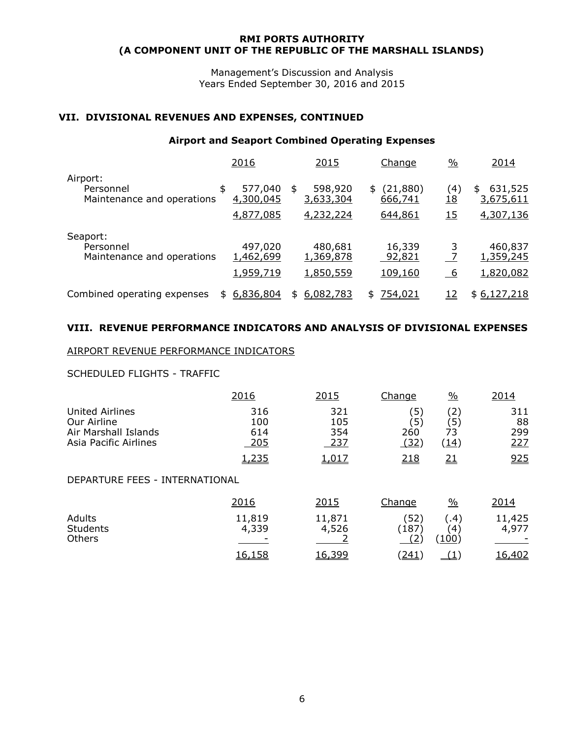Management's Discussion and Analysis Years Ended September 30, 2016 and 2015

# **VII. DIVISIONAL REVENUES AND EXPENSES, CONTINUED**

# **Airport and Seaport Combined Operating Expenses**

|                                                     | 2016                                    | 2015                                    | Change                               | $\frac{0}{0}$                   | 2014                                    |
|-----------------------------------------------------|-----------------------------------------|-----------------------------------------|--------------------------------------|---------------------------------|-----------------------------------------|
| Airport:<br>Personnel<br>Maintenance and operations | \$<br>577,040<br>4,300,045<br>4,877,085 | 598,920<br>\$<br>3,633,304<br>4,232,224 | (21,880)<br>\$<br>666,741<br>644,861 | (4)<br><u> 18</u><br><u> 15</u> | 631,525<br>\$<br>3,675,611<br>4,307,136 |
| Seaport:<br>Personnel<br>Maintenance and operations | 497,020<br>1,462,699<br>1,959,719       | 480,681<br>1,369,878<br>1,850,559       | 16,339<br>92,821<br>109,160          | 3<br><u>_6</u>                  | 460,837<br>1,359,245<br>1,820,082       |
| Combined operating expenses                         | <u>6,836,804</u><br>\$                  | 6,082,783<br>\$                         | 754,021<br>\$                        | <u> 12</u>                      | 6,127,218<br>\$                         |

# **VIII. REVENUE PERFORMANCE INDICATORS AND ANALYSIS OF DIVISIONAL EXPENSES**

# AIRPORT REVENUE PERFORMANCE INDICATORS

# SCHEDULED FLIGHTS - TRAFFIC

|                                                                                 | 2016                                     | 2015                             | Change                                         | $\frac{0}{0}$            | 2014                                  |
|---------------------------------------------------------------------------------|------------------------------------------|----------------------------------|------------------------------------------------|--------------------------|---------------------------------------|
| United Airlines<br>Our Airline<br>Air Marshall Islands<br>Asia Pacific Airlines | 316<br>100<br>614<br>205<br><u>1,235</u> | 321<br>105<br>354<br>237<br>.017 | 5<br>$5^{\circ}$<br>260<br>(32)<br><u> 218</u> | 73<br>(14)<br><u> 21</u> | 311<br>88<br>299<br>227<br><u>925</u> |
|                                                                                 |                                          |                                  |                                                |                          |                                       |

# DEPARTURE FEES - INTERNATIONAL

|                                     | 2016                                        | 2015            | Change       | $\frac{0}{0}$            | 2014            |
|-------------------------------------|---------------------------------------------|-----------------|--------------|--------------------------|-----------------|
| Adults<br>Students<br><b>Others</b> | 11,819<br>4,339<br>$\overline{\phantom{0}}$ | 11,871<br>4,526 | 52<br>(187)  | .4)<br>14<br><u>100)</u> | 11,425<br>4,977 |
|                                     | <u>16,158</u>                               | <u>16,399</u>   | <u>(241)</u> |                          | 16,402          |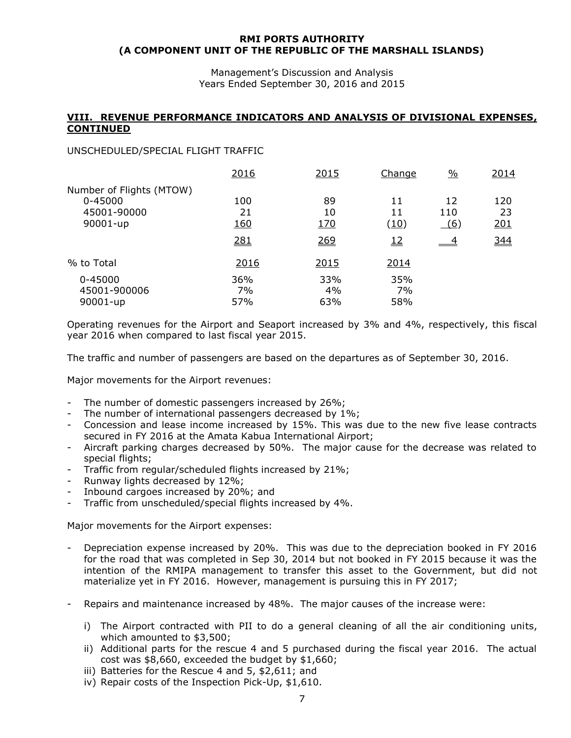Management's Discussion and Analysis Years Ended September 30, 2016 and 2015

# **VIII. REVENUE PERFORMANCE INDICATORS AND ANALYSIS OF DIVISIONAL EXPENSES, CONTINUED**

UNSCHEDULED/SPECIAL FLIGHT TRAFFIC

|                                                                | 2016             | 2015                   | Change                  | $\frac{0}{0}$    | 2014                    |
|----------------------------------------------------------------|------------------|------------------------|-------------------------|------------------|-------------------------|
| Number of Flights (MTOW)<br>0-45000<br>45001-90000<br>90001-up | 100<br>21<br>160 | 89<br>10<br><u>170</u> | 11<br>11<br><u>(10)</u> | 12<br>110<br>(6) | 120<br>23<br><u>201</u> |
|                                                                | 281              | 269                    | 12                      | $-4$             | 344                     |
| % to Total                                                     | 2016             | 2015                   | 2014                    |                  |                         |
| 0-45000<br>45001-900006<br>90001-up                            | 36%<br>7%<br>57% | 33%<br>4%<br>63%       | 35%<br>7%<br>58%        |                  |                         |

Operating revenues for the Airport and Seaport increased by 3% and 4%, respectively, this fiscal year 2016 when compared to last fiscal year 2015.

The traffic and number of passengers are based on the departures as of September 30, 2016.

Major movements for the Airport revenues:

- The number of domestic passengers increased by 26%;
- The number of international passengers decreased by 1%;
- Concession and lease income increased by 15%. This was due to the new five lease contracts secured in FY 2016 at the Amata Kabua International Airport;
- Aircraft parking charges decreased by 50%. The major cause for the decrease was related to special flights;
- Traffic from regular/scheduled flights increased by 21%;
- Runway lights decreased by 12%;
- Inbound cargoes increased by 20%; and
- Traffic from unscheduled/special flights increased by 4%.

Major movements for the Airport expenses:

- Depreciation expense increased by 20%. This was due to the depreciation booked in FY 2016 for the road that was completed in Sep 30, 2014 but not booked in FY 2015 because it was the intention of the RMIPA management to transfer this asset to the Government, but did not materialize yet in FY 2016. However, management is pursuing this in FY 2017;
- Repairs and maintenance increased by 48%. The major causes of the increase were:
	- i) The Airport contracted with PII to do a general cleaning of all the air conditioning units, which amounted to \$3,500;
	- ii) Additional parts for the rescue 4 and 5 purchased during the fiscal year 2016. The actual cost was \$8,660, exceeded the budget by \$1,660;
	- iii) Batteries for the Rescue 4 and 5, \$2,611; and
	- iv) Repair costs of the Inspection Pick-Up, \$1,610.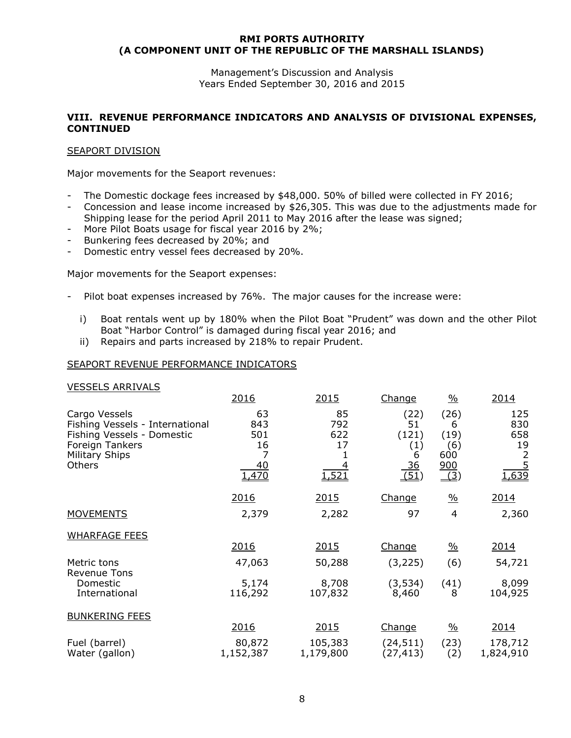Management's Discussion and Analysis Years Ended September 30, 2016 and 2015

# **VIII. REVENUE PERFORMANCE INDICATORS AND ANALYSIS OF DIVISIONAL EXPENSES, CONTINUED**

# SEAPORT DIVISION

Major movements for the Seaport revenues:

- The Domestic dockage fees increased by \$48,000. 50% of billed were collected in FY 2016;
- Concession and lease income increased by \$26,305. This was due to the adjustments made for Shipping lease for the period April 2011 to May 2016 after the lease was signed;
- More Pilot Boats usage for fiscal year 2016 by 2%;
- Bunkering fees decreased by 20%; and
- Domestic entry vessel fees decreased by 20%.

Major movements for the Seaport expenses:

- Pilot boat expenses increased by 76%. The major causes for the increase were:
	- i) Boat rentals went up by 180% when the Pilot Boat "Prudent" was down and the other Pilot Boat "Harbor Control" is damaged during fiscal year 2016; and
	- ii) Repairs and parts increased by 218% to repair Prudent.

# SEAPORT REVENUE PERFORMANCE INDICATORS

#### VESSELS ARRIVALS

|                                                                                                                                      | 2016                                  | 2015                            | Change                                                     | $\frac{0}{0}$                                           | 2014                                                                 |
|--------------------------------------------------------------------------------------------------------------------------------------|---------------------------------------|---------------------------------|------------------------------------------------------------|---------------------------------------------------------|----------------------------------------------------------------------|
| Cargo Vessels<br>Fishing Vessels - International<br>Fishing Vessels - Domestic<br>Foreign Tankers<br>Military Ships<br><b>Others</b> | 63<br>843<br>501<br>16<br>40<br>1,470 | 85<br>792<br>622<br>17<br>1,521 | (22)<br>51<br>(121)<br>(1)<br>6<br>36<br>$\overline{(51)}$ | (26)<br>6<br>(19)<br>(6)<br>600<br>900<br>$\frac{1}{2}$ | 125<br>830<br>658<br>19<br>$\overline{2}$<br>$\overline{5}$<br>1,639 |
|                                                                                                                                      | 2016                                  | 2015                            | Change                                                     | $\frac{0}{0}$                                           | 2014                                                                 |
| <b>MOVEMENTS</b>                                                                                                                     | 2,379                                 | 2,282                           | 97                                                         | 4                                                       | 2,360                                                                |
| <b>WHARFAGE FEES</b>                                                                                                                 |                                       |                                 |                                                            |                                                         |                                                                      |
|                                                                                                                                      | 2016                                  | 2015                            | Change                                                     | $\frac{0}{0}$                                           | 2014                                                                 |
| Metric tons<br><b>Revenue Tons</b>                                                                                                   | 47,063                                | 50,288                          | (3, 225)                                                   | (6)                                                     | 54,721                                                               |
| Domestic<br>International                                                                                                            | 5,174<br>116,292                      | 8,708<br>107,832                | (3,534)<br>8,460                                           | (41)<br>8                                               | 8,099<br>104,925                                                     |
| <b>BUNKERING FEES</b>                                                                                                                |                                       |                                 |                                                            |                                                         |                                                                      |
|                                                                                                                                      | 2016                                  | 2015                            | <b>Change</b>                                              | $\frac{0}{0}$                                           | 2014                                                                 |
| Fuel (barrel)<br>Water (gallon)                                                                                                      | 80,872<br>1,152,387                   | 105,383<br>1,179,800            | (24, 511)<br>(27,413)                                      | (23)<br>(2)                                             | 178,712<br>1,824,910                                                 |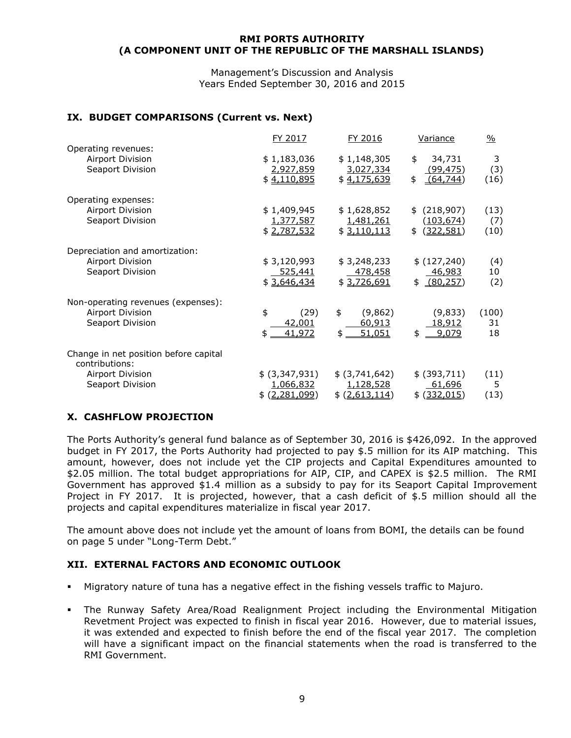Management's Discussion and Analysis Years Ended September 30, 2016 and 2015

# **IX. BUDGET COMPARISONS (Current vs. Next)**

|                                                                                                 | FY 2017                                                 | FY 2016                                        | <b>Variance</b>                                    | $\frac{0}{0}$       |
|-------------------------------------------------------------------------------------------------|---------------------------------------------------------|------------------------------------------------|----------------------------------------------------|---------------------|
| Operating revenues:<br>Airport Division<br>Seaport Division                                     | \$1,183,036<br>2,927,859<br>\$4,110,895                 | \$1,148,305<br>3,027,334<br>\$4,175,639        | \$<br>34,731<br>(99, 475)<br>\$<br>(64, 744)       | 3<br>(3)<br>(16)    |
| Operating expenses:<br>Airport Division<br>Seaport Division                                     | \$1,409,945<br>1,377,587<br>\$2,787,532                 | \$1,628,852<br><u>1,481,261</u><br>\$3,110,113 | (218, 907)<br>\$<br>(103, 674)<br>(322, 581)<br>\$ | (13)<br>(7)<br>(10) |
| Depreciation and amortization:<br>Airport Division<br>Seaport Division                          | \$3,120,993<br><u>525,441</u><br>\$ 3,646,434           | \$3,248,233<br><u>478,458</u><br>\$ 3,726,691  | \$ (127, 240)<br><u>46,983</u><br>(80, 257)<br>\$  | (4)<br>10<br>(2)    |
| Non-operating revenues (expenses):<br>Airport Division<br>Seaport Division                      | \$<br>(29)<br><u>42,001</u><br>41,972<br>\$             | \$<br>(9,862)<br>60,913<br>51,051<br>\$        | (9,833)<br><u>18,912</u><br>9,079<br>\$            | (100)<br>31<br>18   |
| Change in net position before capital<br>contributions:<br>Airport Division<br>Seaport Division | \$ (3,347,931)<br><u>1,066,832</u><br>(2,281,099)<br>\$ | \$ (3,741,642)<br>1,128,528<br>\$ (2,613,114)  | \$ (393, 711)<br>61,696<br>\$ (332,015)            | (11)<br>5.<br>(13)  |

# **X. CASHFLOW PROJECTION**

The Ports Authority's general fund balance as of September 30, 2016 is \$426,092. In the approved budget in FY 2017, the Ports Authority had projected to pay \$.5 million for its AIP matching. This amount, however, does not include yet the CIP projects and Capital Expenditures amounted to \$2.05 million. The total budget appropriations for AIP, CIP, and CAPEX is \$2.5 million. The RMI Government has approved \$1.4 million as a subsidy to pay for its Seaport Capital Improvement Project in FY 2017. It is projected, however, that a cash deficit of \$.5 million should all the projects and capital expenditures materialize in fiscal year 2017.

The amount above does not include yet the amount of loans from BOMI, the details can be found on page 5 under "Long-Term Debt."

# **XII. EXTERNAL FACTORS AND ECONOMIC OUTLOOK**

- Migratory nature of tuna has a negative effect in the fishing vessels traffic to Majuro.
- The Runway Safety Area/Road Realignment Project including the Environmental Mitigation Revetment Project was expected to finish in fiscal year 2016. However, due to material issues, it was extended and expected to finish before the end of the fiscal year 2017. The completion will have a significant impact on the financial statements when the road is transferred to the RMI Government.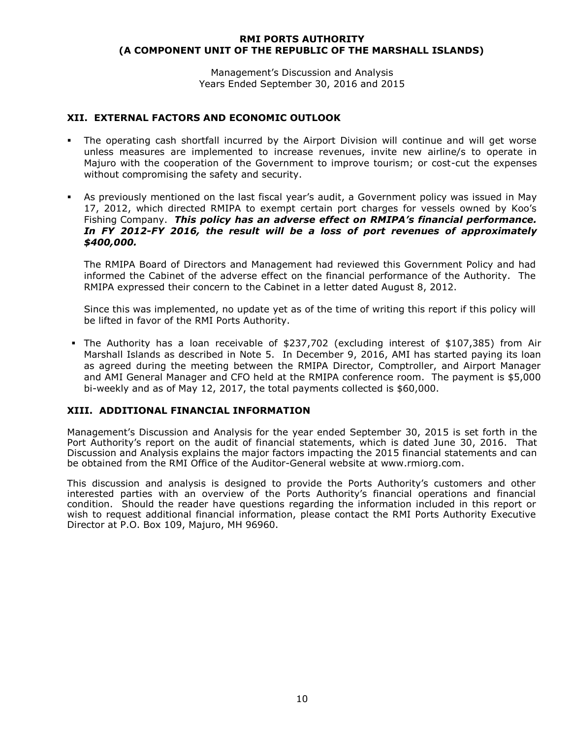Management's Discussion and Analysis Years Ended September 30, 2016 and 2015

# **XII. EXTERNAL FACTORS AND ECONOMIC OUTLOOK**

- The operating cash shortfall incurred by the Airport Division will continue and will get worse unless measures are implemented to increase revenues, invite new airline/s to operate in Majuro with the cooperation of the Government to improve tourism; or cost-cut the expenses without compromising the safety and security.
- As previously mentioned on the last fiscal year's audit, a Government policy was issued in May 17, 2012, which directed RMIPA to exempt certain port charges for vessels owned by Koo's Fishing Company. *This policy has an adverse effect on RMIPA's financial performance. In FY 2012-FY 2016, the result will be a loss of port revenues of approximately \$400,000.*

The RMIPA Board of Directors and Management had reviewed this Government Policy and had informed the Cabinet of the adverse effect on the financial performance of the Authority. The RMIPA expressed their concern to the Cabinet in a letter dated August 8, 2012.

Since this was implemented, no update yet as of the time of writing this report if this policy will be lifted in favor of the RMI Ports Authority.

 The Authority has a loan receivable of \$237,702 (excluding interest of \$107,385) from Air Marshall Islands as described in Note 5. In December 9, 2016, AMI has started paying its loan as agreed during the meeting between the RMIPA Director, Comptroller, and Airport Manager and AMI General Manager and CFO held at the RMIPA conference room. The payment is \$5,000 bi-weekly and as of May 12, 2017, the total payments collected is \$60,000.

# **XIII. ADDITIONAL FINANCIAL INFORMATION**

Management's Discussion and Analysis for the year ended September 30, 2015 is set forth in the Port Authority's report on the audit of financial statements, which is dated June 30, 2016. That Discussion and Analysis explains the major factors impacting the 2015 financial statements and can be obtained from the RMI Office of the Auditor-General website at www.rmiorg.com.

This discussion and analysis is designed to provide the Ports Authority's customers and other interested parties with an overview of the Ports Authority's financial operations and financial condition. Should the reader have questions regarding the information included in this report or wish to request additional financial information, please contact the RMI Ports Authority Executive Director at P.O. Box 109, Majuro, MH 96960.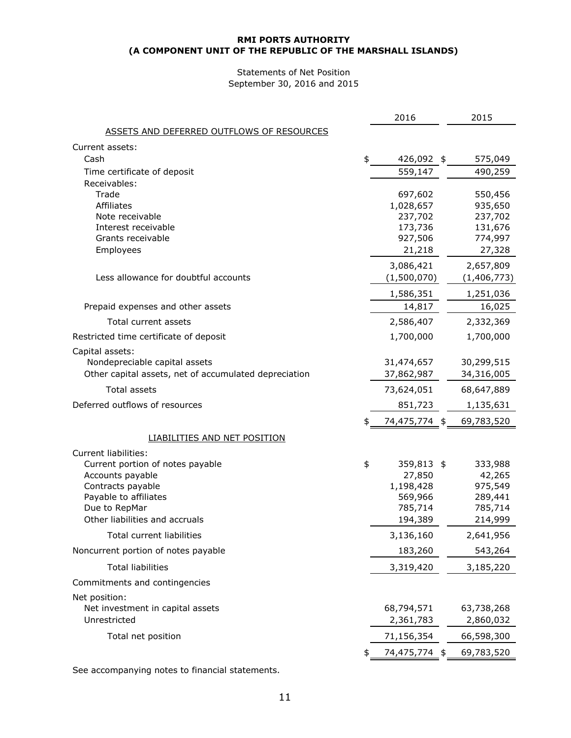Statements of Net Position September 30, 2016 and 2015

|                                                       | 2016                 | 2015                    |
|-------------------------------------------------------|----------------------|-------------------------|
| ASSETS AND DEFERRED OUTFLOWS OF RESOURCES             |                      |                         |
| Current assets:                                       |                      |                         |
| Cash                                                  | \$<br>426,092 \$     | 575,049                 |
| Time certificate of deposit                           | 559,147              | 490,259                 |
| Receivables:                                          |                      |                         |
| Trade<br>Affiliates                                   | 697,602<br>1,028,657 | 550,456<br>935,650      |
| Note receivable                                       | 237,702              | 237,702                 |
| Interest receivable                                   | 173,736              | 131,676                 |
| Grants receivable                                     | 927,506              | 774,997                 |
| Employees                                             | 21,218               | 27,328                  |
|                                                       | 3,086,421            | 2,657,809               |
| Less allowance for doubtful accounts                  | (1,500,070)          | (1,406,773)             |
|                                                       | 1,586,351            | 1,251,036               |
| Prepaid expenses and other assets                     | 14,817               | 16,025                  |
| Total current assets                                  | 2,586,407            | 2,332,369               |
| Restricted time certificate of deposit                | 1,700,000            | 1,700,000               |
| Capital assets:                                       |                      |                         |
| Nondepreciable capital assets                         | 31,474,657           | 30,299,515              |
| Other capital assets, net of accumulated depreciation | 37,862,987           | 34,316,005              |
| <b>Total assets</b>                                   | 73,624,051           | 68,647,889              |
| Deferred outflows of resources                        | 851,723              | 1,135,631               |
|                                                       | \$<br>74,475,774 \$  | 69,783,520              |
| <b>LIABILITIES AND NET POSITION</b>                   |                      |                         |
| <b>Current liabilities:</b>                           |                      |                         |
| Current portion of notes payable                      | \$<br>359,813 \$     | 333,988                 |
| Accounts payable                                      | 27,850               | 42,265                  |
| Contracts payable                                     | 1,198,428            | 975,549                 |
| Payable to affiliates<br>Due to RepMar                | 569,966<br>785,714   | 289,441<br>785,714      |
| Other liabilities and accruals                        | 194,389              | 214,999                 |
| Total current liabilities                             |                      |                         |
|                                                       | 3,136,160            | 2,641,956               |
| Noncurrent portion of notes payable                   | 183,260              | 543,264                 |
| <b>Total liabilities</b>                              | 3,319,420            | 3,185,220               |
| Commitments and contingencies                         |                      |                         |
| Net position:<br>Net investment in capital assets     | 68,794,571           |                         |
| Unrestricted                                          | 2,361,783            | 63,738,268<br>2,860,032 |
| Total net position                                    | 71,156,354           | 66,598,300              |
|                                                       |                      |                         |
|                                                       | 74,475,774 \$        | 69,783,520              |

See accompanying notes to financial statements.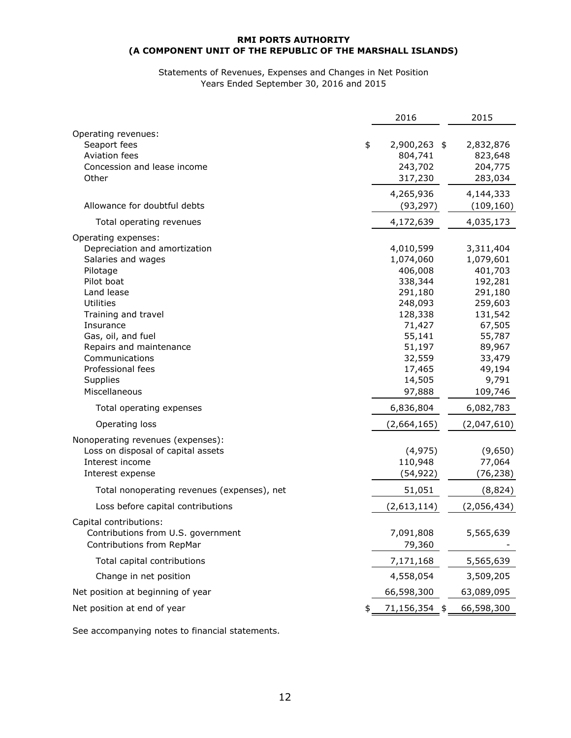# Statements of Revenues, Expenses and Changes in Net Position Years Ended September 30, 2016 and 2015

|                                                                                                                                                                                                                                                                                                                                        | 2016                                                                                                                                                                            | 2015                                                                                                                                                                            |
|----------------------------------------------------------------------------------------------------------------------------------------------------------------------------------------------------------------------------------------------------------------------------------------------------------------------------------------|---------------------------------------------------------------------------------------------------------------------------------------------------------------------------------|---------------------------------------------------------------------------------------------------------------------------------------------------------------------------------|
| Operating revenues:<br>Seaport fees<br>Aviation fees<br>Concession and lease income<br>Other                                                                                                                                                                                                                                           | \$<br>2,900,263 \$<br>804,741<br>243,702<br>317,230                                                                                                                             | 2,832,876<br>823,648<br>204,775<br>283,034                                                                                                                                      |
| Allowance for doubtful debts                                                                                                                                                                                                                                                                                                           | 4,265,936<br>(93, 297)                                                                                                                                                          | 4,144,333<br>(109, 160)                                                                                                                                                         |
| Total operating revenues                                                                                                                                                                                                                                                                                                               | 4,172,639                                                                                                                                                                       | 4,035,173                                                                                                                                                                       |
| Operating expenses:<br>Depreciation and amortization<br>Salaries and wages<br>Pilotage<br>Pilot boat<br>Land lease<br>Utilities<br>Training and travel<br>Insurance<br>Gas, oil, and fuel<br>Repairs and maintenance<br>Communications<br>Professional fees<br>Supplies<br>Miscellaneous<br>Total operating expenses<br>Operating loss | 4,010,599<br>1,074,060<br>406,008<br>338,344<br>291,180<br>248,093<br>128,338<br>71,427<br>55,141<br>51,197<br>32,559<br>17,465<br>14,505<br>97,888<br>6,836,804<br>(2,664,165) | 3,311,404<br>1,079,601<br>401,703<br>192,281<br>291,180<br>259,603<br>131,542<br>67,505<br>55,787<br>89,967<br>33,479<br>49,194<br>9,791<br>109,746<br>6,082,783<br>(2,047,610) |
| Nonoperating revenues (expenses):<br>Loss on disposal of capital assets<br>Interest income<br>Interest expense                                                                                                                                                                                                                         | (4, 975)<br>110,948<br>(54, 922)                                                                                                                                                | (9,650)<br>77,064<br>(76, 238)                                                                                                                                                  |
| Total nonoperating revenues (expenses), net                                                                                                                                                                                                                                                                                            | 51,051                                                                                                                                                                          | (8,824)                                                                                                                                                                         |
| Loss before capital contributions                                                                                                                                                                                                                                                                                                      | (2,613,114)                                                                                                                                                                     | (2,056,434)                                                                                                                                                                     |
| Capital contributions:<br>Contributions from U.S. government<br>Contributions from RepMar                                                                                                                                                                                                                                              | 7,091,808<br>79,360                                                                                                                                                             | 5,565,639                                                                                                                                                                       |
| Total capital contributions                                                                                                                                                                                                                                                                                                            | 7,171,168                                                                                                                                                                       | 5,565,639                                                                                                                                                                       |
| Change in net position                                                                                                                                                                                                                                                                                                                 | 4,558,054                                                                                                                                                                       | 3,509,205                                                                                                                                                                       |
| Net position at beginning of year                                                                                                                                                                                                                                                                                                      | 66,598,300                                                                                                                                                                      | 63,089,095                                                                                                                                                                      |
| Net position at end of year                                                                                                                                                                                                                                                                                                            | 71,156,354 \$                                                                                                                                                                   | 66,598,300                                                                                                                                                                      |

See accompanying notes to financial statements.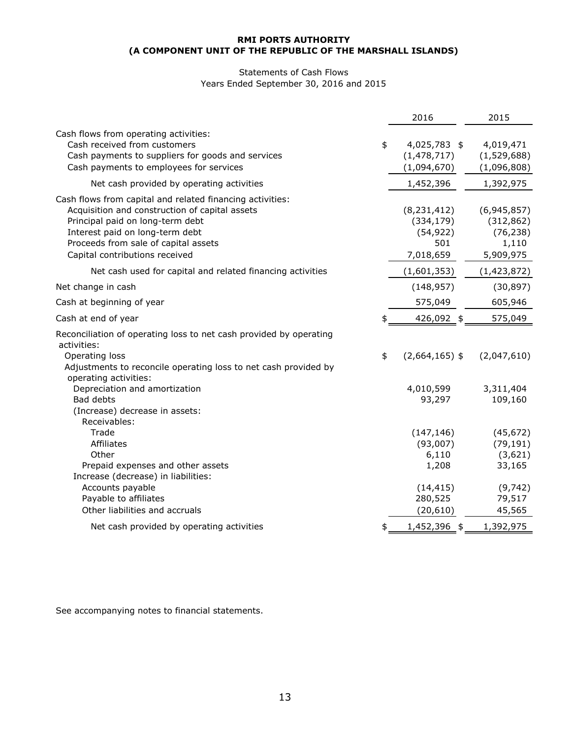# Statements of Cash Flows Years Ended September 30, 2016 and 2015

|                                                                                                                                                                                                                                                              | 2016                                                         | 2015                                                         |
|--------------------------------------------------------------------------------------------------------------------------------------------------------------------------------------------------------------------------------------------------------------|--------------------------------------------------------------|--------------------------------------------------------------|
| Cash flows from operating activities:<br>Cash received from customers<br>Cash payments to suppliers for goods and services<br>Cash payments to employees for services                                                                                        | \$<br>4,025,783 \$<br>(1, 478, 717)<br>(1,094,670)           | 4,019,471<br>(1,529,688)<br>(1,096,808)                      |
| Net cash provided by operating activities                                                                                                                                                                                                                    | 1,452,396                                                    | 1,392,975                                                    |
| Cash flows from capital and related financing activities:<br>Acquisition and construction of capital assets<br>Principal paid on long-term debt<br>Interest paid on long-term debt<br>Proceeds from sale of capital assets<br>Capital contributions received | (8, 231, 412)<br>(334, 179)<br>(54, 922)<br>501<br>7,018,659 | (6,945,857)<br>(312, 862)<br>(76, 238)<br>1,110<br>5,909,975 |
| Net cash used for capital and related financing activities                                                                                                                                                                                                   | (1,601,353)                                                  | (1,423,872)                                                  |
| Net change in cash                                                                                                                                                                                                                                           | (148, 957)                                                   | (30, 897)                                                    |
| Cash at beginning of year                                                                                                                                                                                                                                    | 575,049                                                      | 605,946                                                      |
| Cash at end of year                                                                                                                                                                                                                                          | \$<br>426,092 \$                                             | 575,049                                                      |
| Reconciliation of operating loss to net cash provided by operating<br>activities:<br>Operating loss<br>Adjustments to reconcile operating loss to net cash provided by                                                                                       | \$<br>$(2,664,165)$ \$                                       | (2,047,610)                                                  |
| operating activities:<br>Depreciation and amortization<br><b>Bad debts</b><br>(Increase) decrease in assets:                                                                                                                                                 | 4,010,599<br>93,297                                          | 3,311,404<br>109,160                                         |
| Receivables:<br>Trade<br>Affiliates<br>Other<br>Prepaid expenses and other assets<br>Increase (decrease) in liabilities:                                                                                                                                     | (147, 146)<br>(93,007)<br>6,110<br>1,208                     | (45, 672)<br>(79, 191)<br>(3,621)<br>33,165                  |
| Accounts payable<br>Payable to affiliates<br>Other liabilities and accruals                                                                                                                                                                                  | (14, 415)<br>280,525<br>(20, 610)                            | (9, 742)<br>79,517<br>45,565                                 |
| Net cash provided by operating activities                                                                                                                                                                                                                    | \$<br>1,452,396 \$                                           | 1,392,975                                                    |
|                                                                                                                                                                                                                                                              |                                                              |                                                              |

See accompanying notes to financial statements.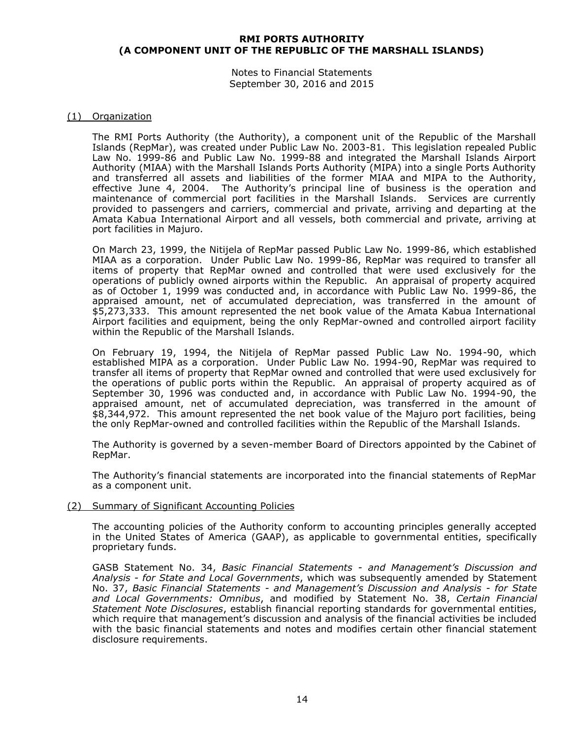Notes to Financial Statements September 30, 2016 and 2015

#### (1) Organization

The RMI Ports Authority (the Authority), a component unit of the Republic of the Marshall Islands (RepMar), was created under Public Law No. 2003-81. This legislation repealed Public Law No. 1999-86 and Public Law No. 1999-88 and integrated the Marshall Islands Airport Authority (MIAA) with the Marshall Islands Ports Authority (MIPA) into a single Ports Authority and transferred all assets and liabilities of the former MIAA and MIPA to the Authority, effective June 4, 2004. The Authority's principal line of business is the operation and maintenance of commercial port facilities in the Marshall Islands. Services are currently provided to passengers and carriers, commercial and private, arriving and departing at the Amata Kabua International Airport and all vessels, both commercial and private, arriving at port facilities in Majuro.

On March 23, 1999, the Nitijela of RepMar passed Public Law No. 1999-86, which established MIAA as a corporation. Under Public Law No. 1999-86, RepMar was required to transfer all items of property that RepMar owned and controlled that were used exclusively for the operations of publicly owned airports within the Republic. An appraisal of property acquired as of October 1, 1999 was conducted and, in accordance with Public Law No. 1999-86, the appraised amount, net of accumulated depreciation, was transferred in the amount of \$5,273,333. This amount represented the net book value of the Amata Kabua International Airport facilities and equipment, being the only RepMar-owned and controlled airport facility within the Republic of the Marshall Islands.

On February 19, 1994, the Nitijela of RepMar passed Public Law No. 1994-90, which established MIPA as a corporation. Under Public Law No. 1994-90, RepMar was required to transfer all items of property that RepMar owned and controlled that were used exclusively for the operations of public ports within the Republic. An appraisal of property acquired as of September 30, 1996 was conducted and, in accordance with Public Law No. 1994-90, the appraised amount, net of accumulated depreciation, was transferred in the amount of \$8,344,972. This amount represented the net book value of the Majuro port facilities, being the only RepMar-owned and controlled facilities within the Republic of the Marshall Islands.

The Authority is governed by a seven-member Board of Directors appointed by the Cabinet of RepMar.

The Authority's financial statements are incorporated into the financial statements of RepMar as a component unit.

#### (2) Summary of Significant Accounting Policies

The accounting policies of the Authority conform to accounting principles generally accepted in the United States of America (GAAP), as applicable to governmental entities, specifically proprietary funds.

GASB Statement No. 34, *Basic Financial Statements - and Management's Discussion and Analysis - for State and Local Governments*, which was subsequently amended by Statement No. 37, *Basic Financial Statements - and Management's Discussion and Analysis - for State and Local Governments: Omnibus*, and modified by Statement No. 38, *Certain Financial Statement Note Disclosures*, establish financial reporting standards for governmental entities, which require that management's discussion and analysis of the financial activities be included with the basic financial statements and notes and modifies certain other financial statement disclosure requirements.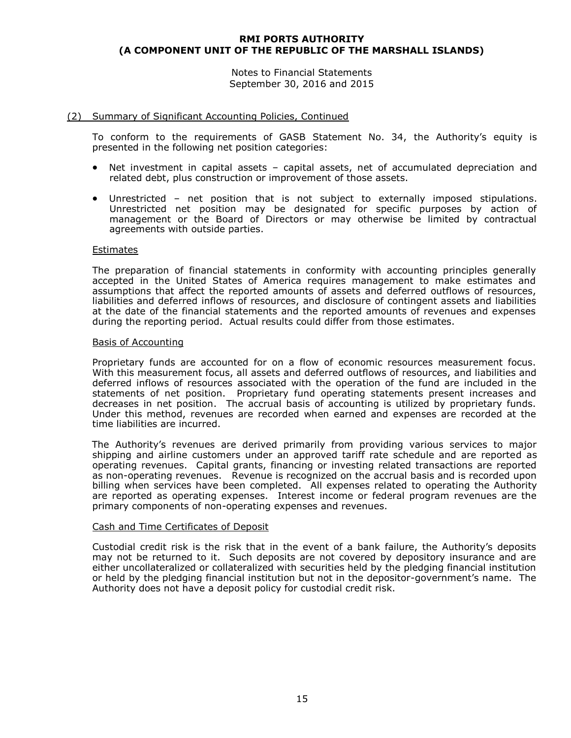Notes to Financial Statements September 30, 2016 and 2015

#### (2) Summary of Significant Accounting Policies, Continued

To conform to the requirements of GASB Statement No. 34, the Authority's equity is presented in the following net position categories:

- Net investment in capital assets capital assets, net of accumulated depreciation and related debt, plus construction or improvement of those assets.
- Unrestricted net position that is not subject to externally imposed stipulations. Unrestricted net position may be designated for specific purposes by action of management or the Board of Directors or may otherwise be limited by contractual agreements with outside parties.

#### **Estimates**

The preparation of financial statements in conformity with accounting principles generally accepted in the United States of America requires management to make estimates and assumptions that affect the reported amounts of assets and deferred outflows of resources, liabilities and deferred inflows of resources, and disclosure of contingent assets and liabilities at the date of the financial statements and the reported amounts of revenues and expenses during the reporting period. Actual results could differ from those estimates.

#### Basis of Accounting

Proprietary funds are accounted for on a flow of economic resources measurement focus. With this measurement focus, all assets and deferred outflows of resources, and liabilities and deferred inflows of resources associated with the operation of the fund are included in the statements of net position. Proprietary fund operating statements present increases and decreases in net position. The accrual basis of accounting is utilized by proprietary funds. Under this method, revenues are recorded when earned and expenses are recorded at the time liabilities are incurred.

The Authority's revenues are derived primarily from providing various services to major shipping and airline customers under an approved tariff rate schedule and are reported as operating revenues. Capital grants, financing or investing related transactions are reported as non-operating revenues. Revenue is recognized on the accrual basis and is recorded upon billing when services have been completed. All expenses related to operating the Authority are reported as operating expenses. Interest income or federal program revenues are the primary components of non-operating expenses and revenues.

#### Cash and Time Certificates of Deposit

Custodial credit risk is the risk that in the event of a bank failure, the Authority's deposits may not be returned to it. Such deposits are not covered by depository insurance and are either uncollateralized or collateralized with securities held by the pledging financial institution or held by the pledging financial institution but not in the depositor-government's name. The Authority does not have a deposit policy for custodial credit risk.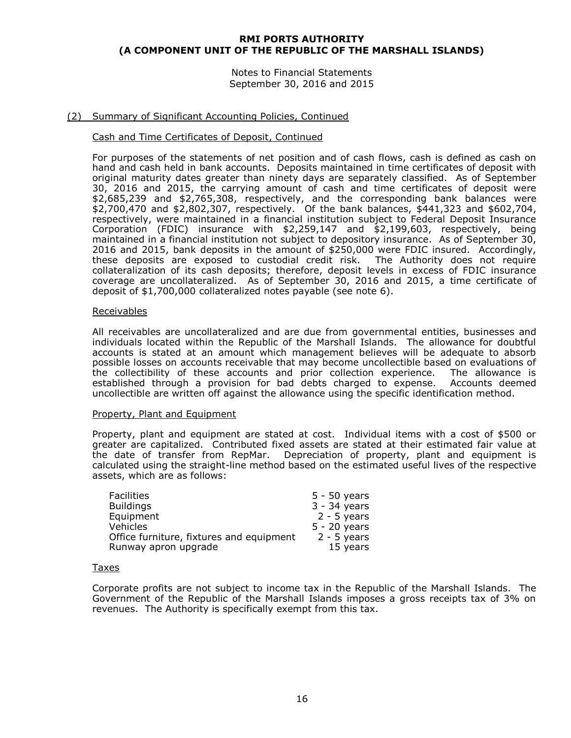Notes to Financial Statements September 30, 2016 and 2015

#### (2) Summary of Significant Accounting Policies, Continued

#### Cash and Time Certificates of Deposit, Continued

For purposes of the statements of net position and of cash flows, cash is defined as cash on hand and cash held in bank accounts. Deposits maintained in time certificates of deposit with original maturity dates greater than ninety days are separately classified. As of September 30, 2016 and 2015, the carrying amount of cash and time certificates of deposit were \$2,685,239 and \$2,765,308, respectively, and the corresponding bank balances were \$2,700,470 and \$2,802,307, respectively. Of the bank balances, \$441,323 and \$602,704, respectively, were maintained in a financial institution subject to Federal Deposit Insurance Corporation (FDIC) insurance with \$2,259,147 and \$2,199,603, respectively, being maintained in a financial institution not subject to depository insurance. As of September 30, 2016 and 2015, bank deposits in the amount of \$250,000 were FDIC insured. Accordingly, these deposits are exposed to custodial credit risk. The Authority does not require collateralization of its cash deposits; therefore, deposit levels in excess of FDIC insurance coverage are uncollateralized. As of September 30, 2016 and 2015, a time certificate of deposit of \$1,700,000 collateralized notes payable (see note 6).

#### Receivables

All receivables are uncollateralized and are due from governmental entities, businesses and individuals located within the Republic of the Marshall Islands. The allowance for doubtful accounts is stated at an amount which management believes will be adequate to absorb possible losses on accounts receivable that may become uncollectible based on evaluations of the collectibility of these accounts and prior collection experience. The allowance is established through a provision for bad debts charged to expense. Accounts deemed uncollectible are written off against the allowance using the specific identification method.

#### Property, Plant and Equipment

Property, plant and equipment are stated at cost. Individual items with a cost of \$500 or greater are capitalized. Contributed fixed assets are stated at their estimated fair value at the date of transfer from RepMar. Depreciation of property, plant and equipment is calculated using the straight-line method based on the estimated useful lives of the respective assets, which are as follows:

| $5 - 50$ years |
|----------------|
| $3 - 34$ years |
| $2 - 5$ years  |
| $5 - 20$ years |
| $2 - 5$ years  |
| 15 years       |
|                |

#### Taxes

Corporate profits are not subject to income tax in the Republic of the Marshall Islands. The Government of the Republic of the Marshall Islands imposes a gross receipts tax of 3% on revenues. The Authority is specifically exempt from this tax.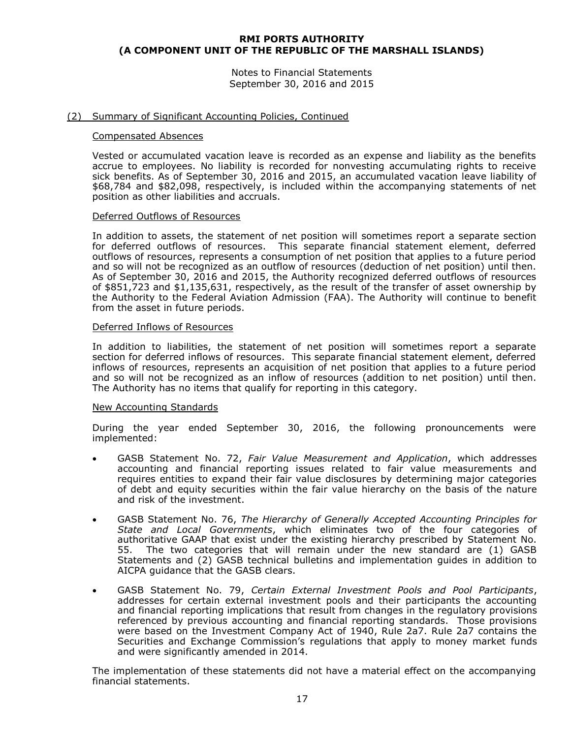Notes to Financial Statements September 30, 2016 and 2015

#### (2) Summary of Significant Accounting Policies, Continued

#### Compensated Absences

Vested or accumulated vacation leave is recorded as an expense and liability as the benefits accrue to employees. No liability is recorded for nonvesting accumulating rights to receive sick benefits. As of September 30, 2016 and 2015, an accumulated vacation leave liability of \$68,784 and \$82,098, respectively, is included within the accompanying statements of net position as other liabilities and accruals.

#### Deferred Outflows of Resources

In addition to assets, the statement of net position will sometimes report a separate section for deferred outflows of resources. This separate financial statement element, deferred outflows of resources, represents a consumption of net position that applies to a future period and so will not be recognized as an outflow of resources (deduction of net position) until then. As of September 30, 2016 and 2015, the Authority recognized deferred outflows of resources of \$851,723 and \$1,135,631, respectively, as the result of the transfer of asset ownership by the Authority to the Federal Aviation Admission (FAA). The Authority will continue to benefit from the asset in future periods.

#### Deferred Inflows of Resources

In addition to liabilities, the statement of net position will sometimes report a separate section for deferred inflows of resources. This separate financial statement element, deferred inflows of resources, represents an acquisition of net position that applies to a future period and so will not be recognized as an inflow of resources (addition to net position) until then. The Authority has no items that qualify for reporting in this category.

#### New Accounting Standards

During the year ended September 30, 2016, the following pronouncements were implemented:

- GASB Statement No. 72, *Fair Value Measurement and Application*, which addresses accounting and financial reporting issues related to fair value measurements and requires entities to expand their fair value disclosures by determining major categories of debt and equity securities within the fair value hierarchy on the basis of the nature and risk of the investment.
- GASB Statement No. 76, *The Hierarchy of Generally Accepted Accounting Principles for State and Local Governments*, which eliminates two of the four categories of authoritative GAAP that exist under the existing hierarchy prescribed by Statement No. 55. The two categories that will remain under the new standard are (1) GASB Statements and (2) GASB technical bulletins and implementation guides in addition to AICPA guidance that the GASB clears.
- GASB Statement No. 79, *Certain External Investment Pools and Pool Participants*, addresses for certain external investment pools and their participants the accounting and financial reporting implications that result from changes in the regulatory provisions referenced by previous accounting and financial reporting standards. Those provisions were based on the Investment Company Act of 1940, Rule 2a7. Rule 2a7 contains the Securities and Exchange Commission's regulations that apply to money market funds and were significantly amended in 2014.

The implementation of these statements did not have a material effect on the accompanying financial statements.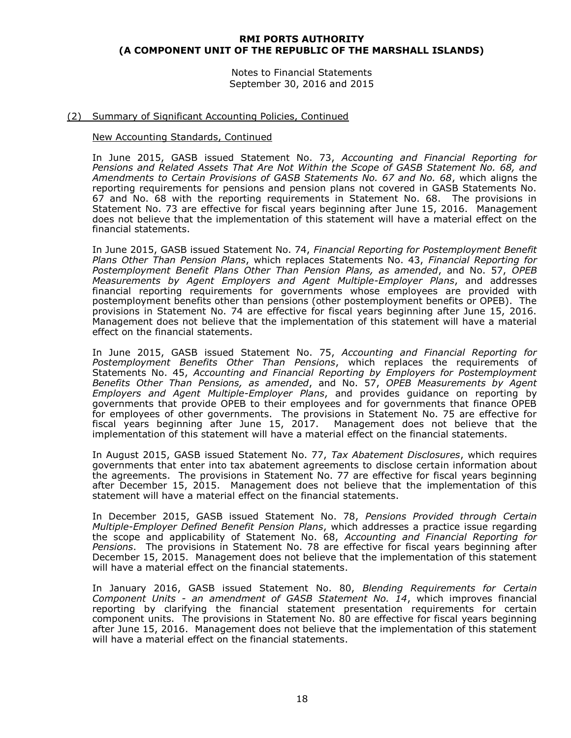Notes to Financial Statements September 30, 2016 and 2015

#### (2) Summary of Significant Accounting Policies, Continued

#### New Accounting Standards, Continued

In June 2015, GASB issued Statement No. 73, *Accounting and Financial Reporting for Pensions and Related Assets That Are Not Within the Scope of GASB Statement No. 68, and Amendments to Certain Provisions of GASB Statements No. 67 and No. 68*, which aligns the reporting requirements for pensions and pension plans not covered in GASB Statements No. 67 and No. 68 with the reporting requirements in Statement No. 68. The provisions in Statement No. 73 are effective for fiscal years beginning after June 15, 2016. Management does not believe that the implementation of this statement will have a material effect on the financial statements.

In June 2015, GASB issued Statement No. 74, *Financial Reporting for Postemployment Benefit Plans Other Than Pension Plans*, which replaces Statements No. 43, *Financial Reporting for Postemployment Benefit Plans Other Than Pension Plans, as amended*, and No. 57, *OPEB Measurements by Agent Employers and Agent Multiple-Employer Plans*, and addresses financial reporting requirements for governments whose employees are provided with postemployment benefits other than pensions (other postemployment benefits or OPEB). The provisions in Statement No. 74 are effective for fiscal years beginning after June 15, 2016. Management does not believe that the implementation of this statement will have a material effect on the financial statements.

In June 2015, GASB issued Statement No. 75, *Accounting and Financial Reporting for Postemployment Benefits Other Than Pensions*, which replaces the requirements of Statements No. 45, *Accounting and Financial Reporting by Employers for Postemployment Benefits Other Than Pensions, as amended*, and No. 57, *OPEB Measurements by Agent Employers and Agent Multiple-Employer Plans*, and provides guidance on reporting by governments that provide OPEB to their employees and for governments that finance OPEB for employees of other governments. The provisions in Statement No. 75 are effective for fiscal years beginning after June 15, 2017. Management does not believe that the implementation of this statement will have a material effect on the financial statements.

In August 2015, GASB issued Statement No. 77, *Tax Abatement Disclosures*, which requires governments that enter into tax abatement agreements to disclose certain information about the agreements. The provisions in Statement No. 77 are effective for fiscal years beginning after December 15, 2015. Management does not believe that the implementation of this statement will have a material effect on the financial statements.

In December 2015, GASB issued Statement No. 78, *Pensions Provided through Certain Multiple-Employer Defined Benefit Pension Plans*, which addresses a practice issue regarding the scope and applicability of Statement No. 68, *Accounting and Financial Reporting for Pensions*. The provisions in Statement No. 78 are effective for fiscal years beginning after December 15, 2015. Management does not believe that the implementation of this statement will have a material effect on the financial statements.

In January 2016, GASB issued Statement No. 80, *Blending Requirements for Certain Component Units - an amendment of GASB Statement No. 14*, which improves financial reporting by clarifying the financial statement presentation requirements for certain component units. The provisions in Statement No. 80 are effective for fiscal years beginning after June 15, 2016. Management does not believe that the implementation of this statement will have a material effect on the financial statements.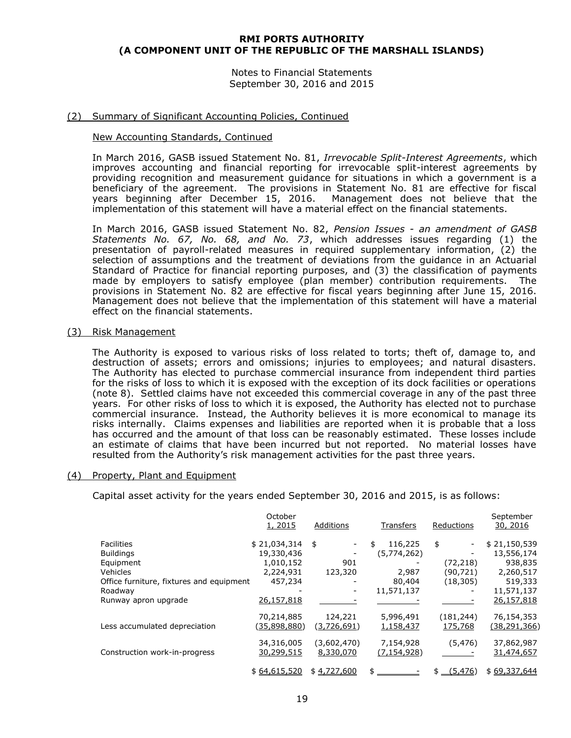Notes to Financial Statements September 30, 2016 and 2015

#### (2) Summary of Significant Accounting Policies, Continued

#### New Accounting Standards, Continued

In March 2016, GASB issued Statement No. 81, *Irrevocable Split-Interest Agreements*, which improves accounting and financial reporting for irrevocable split-interest agreements by providing recognition and measurement guidance for situations in which a government is a beneficiary of the agreement. The provisions in Statement No. 81 are effective for fiscal years beginning after December 15, 2016. Management does not believe that the implementation of this statement will have a material effect on the financial statements.

In March 2016, GASB issued Statement No. 82, *Pension Issues - an amendment of GASB Statements No. 67, No. 68, and No. 73*, which addresses issues regarding (1) the presentation of payroll-related measures in required supplementary information, (2) the selection of assumptions and the treatment of deviations from the guidance in an Actuarial Standard of Practice for financial reporting purposes, and (3) the classification of payments made by employers to satisfy employee (plan member) contribution requirements. The provisions in Statement No. 82 are effective for fiscal years beginning after June 15, 2016. Management does not believe that the implementation of this statement will have a material effect on the financial statements.

#### (3) Risk Management

The Authority is exposed to various risks of loss related to torts; theft of, damage to, and destruction of assets; errors and omissions; injuries to employees; and natural disasters. The Authority has elected to purchase commercial insurance from independent third parties for the risks of loss to which it is exposed with the exception of its dock facilities or operations (note 8). Settled claims have not exceeded this commercial coverage in any of the past three years. For other risks of loss to which it is exposed, the Authority has elected not to purchase commercial insurance. Instead, the Authority believes it is more economical to manage its risks internally. Claims expenses and liabilities are reported when it is probable that a loss has occurred and the amount of that loss can be reasonably estimated. These losses include an estimate of claims that have been incurred but not reported. No material losses have resulted from the Authority's risk management activities for the past three years.

#### (4) Property, Plant and Equipment

Capital asset activity for the years ended September 30, 2016 and 2015, is as follows:

|                                          | October<br>1, 2015 | Additions   | Transfers     | Reductions                     | September<br>30, 2016 |
|------------------------------------------|--------------------|-------------|---------------|--------------------------------|-----------------------|
| <b>Facilities</b>                        | \$21,034,314       | \$          | 116,225<br>\$ | \$<br>$\overline{\phantom{a}}$ | \$21,150,539          |
| <b>Buildings</b>                         | 19,330,436         |             | (5,774,262)   | -                              | 13,556,174            |
| Equipment                                | 1,010,152          | 901         |               | (72, 218)                      | 938,835               |
| Vehicles                                 | 2,224,931          | 123,320     | 2,987         | (90, 721)                      | 2,260,517             |
| Office furniture, fixtures and equipment | 457,234            |             | 80,404        | (18, 305)                      | 519,333               |
| Roadway                                  |                    |             | 11,571,137    |                                | 11,571,137            |
| Runway apron upgrade                     | 26,157,818         |             |               |                                | 26,157,818            |
|                                          | 70,214,885         | 124,221     | 5,996,491     | (181, 244)                     | 76,154,353            |
| Less accumulated depreciation            | (35,898,880)       | (3,726,691) | 1,158,437     | 175,768                        | (38, 291, 366)        |
|                                          | 34,316,005         | (3,602,470) | 7,154,928     | (5, 476)                       | 37,862,987            |
| Construction work-in-progress            | 30,299,515         | 8,330,070   | (7, 154, 928) |                                | 31,474,657            |
|                                          | \$64,615,520       | \$4.727.600 | \$            | (5, 476)                       | \$69,337,644          |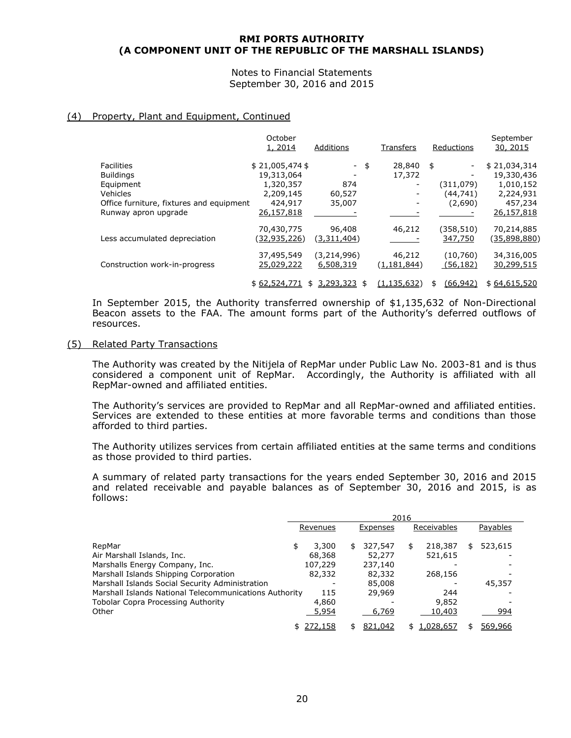Notes to Financial Statements September 30, 2016 and 2015

#### (4) Property, Plant and Equipment, Continued

|                                          | October<br>1, 2014 | Additions                 | Transfers                | Reductions                     | September<br>30, 2015 |
|------------------------------------------|--------------------|---------------------------|--------------------------|--------------------------------|-----------------------|
| <b>Facilities</b>                        | $$21,005,474$ \$   | - \$                      | 28,840                   | \$<br>$\overline{\phantom{a}}$ | \$21,034,314          |
| <b>Buildings</b>                         | 19,313,064         |                           | 17,372                   | $\overline{\phantom{a}}$       | 19,330,436            |
| Equipment                                | 1,320,357          | 874                       | -                        | (311,079)                      | 1,010,152             |
| Vehicles                                 | 2,209,145          | 60,527                    | $\overline{\phantom{a}}$ | (44, 741)                      | 2,224,931             |
| Office furniture, fixtures and equipment | 424,917            | 35,007                    |                          | (2,690)                        | 457,234               |
| Runway apron upgrade                     | 26,157,818         |                           |                          |                                | 26,157,818            |
|                                          | 70,430,775         | 96,408                    | 46,212                   | (358,510)                      | 70,214,885            |
| Less accumulated depreciation            | (32,935,226)       | (3,311,404)               |                          | 347,750                        | (35,898,880)          |
|                                          | 37,495,549         | (3,214,996)               | 46,212                   | (10,760)                       | 34,316,005            |
| Construction work-in-progress            | 25,029,222         | 6,508,319                 | (1, 181, 844)            | (56, 182)                      | 30,299,515            |
|                                          | \$62.524.7         | .293.323<br>3<br>\$<br>\$ | (1.135.632)              | (66.942)<br>\$                 | \$64.615.520          |

In September 2015, the Authority transferred ownership of \$1,135,632 of Non-Directional Beacon assets to the FAA. The amount forms part of the Authority's deferred outflows of resources.

#### (5) Related Party Transactions

The Authority was created by the Nitijela of RepMar under Public Law No. 2003-81 and is thus considered a component unit of RepMar. Accordingly, the Authority is affiliated with all RepMar-owned and affiliated entities.

The Authority's services are provided to RepMar and all RepMar-owned and affiliated entities. Services are extended to these entities at more favorable terms and conditions than those afforded to third parties.

The Authority utilizes services from certain affiliated entities at the same terms and conditions as those provided to third parties.

A summary of related party transactions for the years ended September 30, 2016 and 2015 and related receivable and payable balances as of September 30, 2016 and 2015, is as follows:

|                                                        | 2016 |              |    |          |    |             |               |
|--------------------------------------------------------|------|--------------|----|----------|----|-------------|---------------|
|                                                        |      | Revenues     |    | Expenses |    | Receivables | Payables      |
| RepMar                                                 | \$   | 3,300        | \$ | 327,547  | \$ | 218,387     | \$<br>523,615 |
| Air Marshall Islands, Inc.                             |      | 68,368       |    | 52,277   |    | 521,615     |               |
| Marshalls Energy Company, Inc.                         |      | 107,229      |    | 237,140  |    |             |               |
| Marshall Islands Shipping Corporation                  |      | 82,332       |    | 82,332   |    | 268,156     |               |
| Marshall Islands Social Security Administration        |      |              |    | 85,008   |    |             | 45,357        |
| Marshall Islands National Telecommunications Authority |      | 115          |    | 29,969   |    | 244         |               |
| <b>Tobolar Copra Processing Authority</b>              |      | 4,860        |    |          |    | 9,852       |               |
| Other                                                  |      | <u>5,954</u> |    | 6,769    |    | 10,403      | 994           |
|                                                        |      | 272.158      |    | 821.042  |    | 1.028.657   | 569.966       |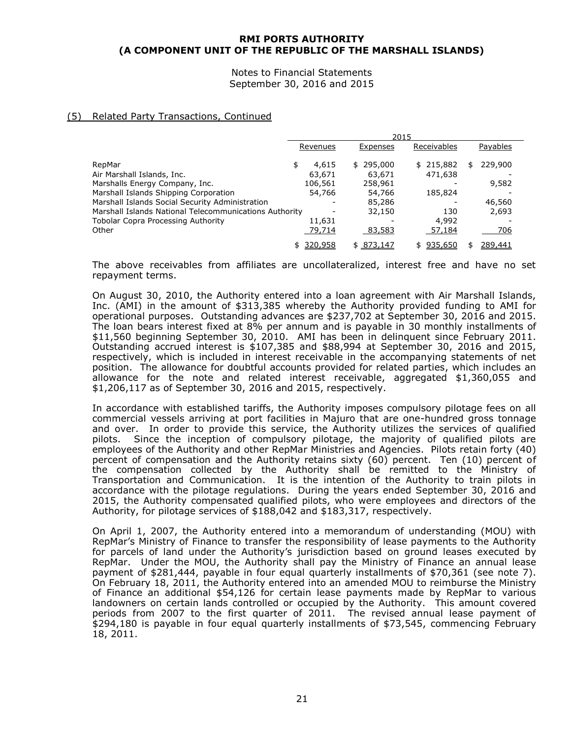Notes to Financial Statements September 30, 2016 and 2015

#### (5) Related Party Transactions, Continued

|                                                        | 2015 |            |           |                |    |          |  |
|--------------------------------------------------------|------|------------|-----------|----------------|----|----------|--|
|                                                        |      | Revenues   | Expenses  | Receivables    |    | Payables |  |
| RepMar                                                 | \$   | 4,615      | \$295,000 | \$215,882      | \$ | 229,900  |  |
| Air Marshall Islands, Inc.                             |      | 63,671     | 63,671    | 471,638        |    |          |  |
| Marshalls Energy Company, Inc.                         |      | 106,561    | 258,961   |                |    | 9,582    |  |
| Marshall Islands Shipping Corporation                  |      | 54,766     | 54,766    | 185,824        |    |          |  |
| Marshall Islands Social Security Administration        |      | -          | 85,286    |                |    | 46,560   |  |
| Marshall Islands National Telecommunications Authority |      |            | 32,150    | 130            |    | 2,693    |  |
| <b>Tobolar Copra Processing Authority</b>              |      | 11,631     |           | 4,992          |    |          |  |
| Other                                                  |      | 79,714     | 83,583    | 57,184         |    | 706      |  |
|                                                        |      | \$ 320,958 | \$873.147 | 935.650<br>SS. |    | 289,441  |  |

The above receivables from affiliates are uncollateralized, interest free and have no set repayment terms.

On August 30, 2010, the Authority entered into a loan agreement with Air Marshall Islands, Inc. (AMI) in the amount of \$313,385 whereby the Authority provided funding to AMI for operational purposes. Outstanding advances are \$237,702 at September 30, 2016 and 2015. The loan bears interest fixed at 8% per annum and is payable in 30 monthly installments of \$11,560 beginning September 30, 2010. AMI has been in delinquent since February 2011. Outstanding accrued interest is \$107,385 and \$88,994 at September 30, 2016 and 2015, respectively, which is included in interest receivable in the accompanying statements of net position. The allowance for doubtful accounts provided for related parties, which includes an allowance for the note and related interest receivable, aggregated \$1,360,055 and \$1,206,117 as of September 30, 2016 and 2015, respectively.

In accordance with established tariffs, the Authority imposes compulsory pilotage fees on all commercial vessels arriving at port facilities in Majuro that are one-hundred gross tonnage and over. In order to provide this service, the Authority utilizes the services of qualified pilots. Since the inception of compulsory pilotage, the majority of qualified pilots are employees of the Authority and other RepMar Ministries and Agencies. Pilots retain forty (40) percent of compensation and the Authority retains sixty (60) percent. Ten (10) percent of the compensation collected by the Authority shall be remitted to the Ministry of Transportation and Communication. It is the intention of the Authority to train pilots in accordance with the pilotage regulations. During the years ended September 30, 2016 and 2015, the Authority compensated qualified pilots, who were employees and directors of the Authority, for pilotage services of \$188,042 and \$183,317, respectively.

On April 1, 2007, the Authority entered into a memorandum of understanding (MOU) with RepMar's Ministry of Finance to transfer the responsibility of lease payments to the Authority for parcels of land under the Authority's jurisdiction based on ground leases executed by RepMar. Under the MOU, the Authority shall pay the Ministry of Finance an annual lease payment of \$281,444, payable in four equal quarterly installments of \$70,361 (see note 7). On February 18, 2011, the Authority entered into an amended MOU to reimburse the Ministry of Finance an additional \$54,126 for certain lease payments made by RepMar to various landowners on certain lands controlled or occupied by the Authority. This amount covered periods from 2007 to the first quarter of 2011. The revised annual lease payment of \$294,180 is payable in four equal quarterly installments of \$73,545, commencing February 18, 2011.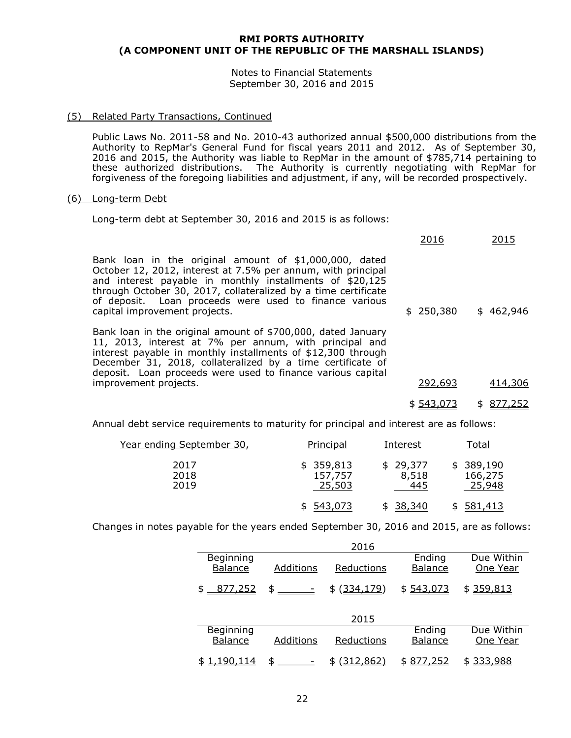Notes to Financial Statements September 30, 2016 and 2015

#### (5) Related Party Transactions, Continued

Public Laws No. 2011-58 and No. 2010-43 authorized annual \$500,000 distributions from the Authority to RepMar's General Fund for fiscal years 2011 and 2012. As of September 30, 2016 and 2015, the Authority was liable to RepMar in the amount of \$785,714 pertaining to these authorized distributions. The Authority is currently negotiating with RepMar for forgiveness of the foregoing liabilities and adjustment, if any, will be recorded prospectively.

#### (6) Long-term Debt

Long-term debt at September 30, 2016 and 2015 is as follows:

|                                                                                                                                                                                                                                                                                                                                                 | 2016      | 2015      |
|-------------------------------------------------------------------------------------------------------------------------------------------------------------------------------------------------------------------------------------------------------------------------------------------------------------------------------------------------|-----------|-----------|
| Bank loan in the original amount of \$1,000,000, dated<br>October 12, 2012, interest at 7.5% per annum, with principal<br>and interest payable in monthly installments of \$20,125<br>through October 30, 2017, collateralized by a time certificate<br>of deposit. Loan proceeds were used to finance various<br>capital improvement projects. | \$250,380 | \$462,946 |
| Bank loan in the original amount of \$700,000, dated January<br>11, 2013, interest at 7% per annum, with principal and<br>interest payable in monthly installments of \$12,300 through<br>December 31, 2018, collateralized by a time certificate of<br>deposit. Loan proceeds were used to finance various capital<br>improvement projects.    | 292,693   | 414,306   |
|                                                                                                                                                                                                                                                                                                                                                 | \$543.    |           |
|                                                                                                                                                                                                                                                                                                                                                 |           |           |

Annual debt service requirements to maturity for principal and interest are as follows:

| <u>Year ending September 30,</u> | Principal                      | Interest                 | Total                          |
|----------------------------------|--------------------------------|--------------------------|--------------------------------|
| 2017<br>2018<br>2019             | \$359,813<br>157,757<br>25,503 | \$29,377<br>8,518<br>445 | \$389,190<br>166,275<br>25,948 |
|                                  | \$ 543,073                     | \$38,340                 | \$581,413                      |

Changes in notes payable for the years ended September 30, 2016 and 2015, are as follows:

|                                    |           | 2016             |                          |                        |
|------------------------------------|-----------|------------------|--------------------------|------------------------|
| Beginning<br><b>Balance</b>        | Additions | Reductions       | Ending<br><b>Balance</b> | Due Within<br>One Year |
| <u>877,252</u>                     | $$$ -     | \$ (334, 179)    | \$543,073                | \$359,813              |
|                                    |           | 2015             |                          |                        |
| <b>Beginning</b><br><b>Balance</b> | Additions | Reductions       | Ending<br>Balance        | Due Within<br>One Year |
| 190,114                            | \$        | <u>(312,862)</u> | <u>877,252</u>           | \$333,988              |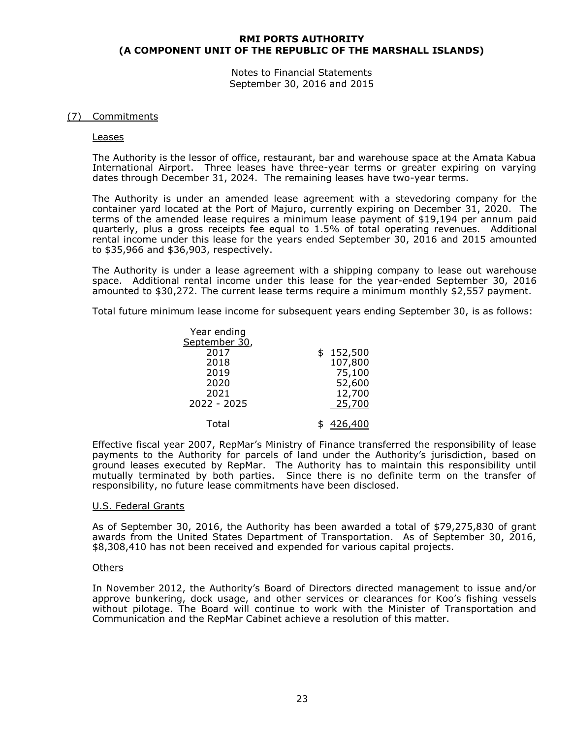Notes to Financial Statements September 30, 2016 and 2015

#### (7) Commitments

#### Leases

The Authority is the lessor of office, restaurant, bar and warehouse space at the Amata Kabua International Airport. Three leases have three-year terms or greater expiring on varying dates through December 31, 2024. The remaining leases have two-year terms.

The Authority is under an amended lease agreement with a stevedoring company for the container yard located at the Port of Majuro, currently expiring on December 31, 2020. The terms of the amended lease requires a minimum lease payment of \$19,194 per annum paid quarterly, plus a gross receipts fee equal to 1.5% of total operating revenues. Additional rental income under this lease for the years ended September 30, 2016 and 2015 amounted to \$35,966 and \$36,903, respectively.

The Authority is under a lease agreement with a shipping company to lease out warehouse space. Additional rental income under this lease for the year-ended September 30, 2016 amounted to \$30,272. The current lease terms require a minimum monthly \$2,557 payment.

Total future minimum lease income for subsequent years ending September 30, is as follows:

| Year ending   |               |
|---------------|---------------|
| September 30, |               |
| 2017          | 152,500<br>\$ |
| 2018          | 107,800       |
| 2019          | 75,100        |
| 2020          | 52,600        |
| 2021          | 12,700        |
| 2022 - 2025   | 25,700        |
|               |               |
| Total         | 426,400       |

Effective fiscal year 2007, RepMar's Ministry of Finance transferred the responsibility of lease payments to the Authority for parcels of land under the Authority's jurisdiction, based on ground leases executed by RepMar. The Authority has to maintain this responsibility until mutually terminated by both parties. Since there is no definite term on the transfer of responsibility, no future lease commitments have been disclosed.

#### U.S. Federal Grants

As of September 30, 2016, the Authority has been awarded a total of \$79,275,830 of grant awards from the United States Department of Transportation. As of September 30, 2016, \$8,308,410 has not been received and expended for various capital projects.

#### **Others**

In November 2012, the Authority's Board of Directors directed management to issue and/or approve bunkering, dock usage, and other services or clearances for Koo's fishing vessels without pilotage. The Board will continue to work with the Minister of Transportation and Communication and the RepMar Cabinet achieve a resolution of this matter.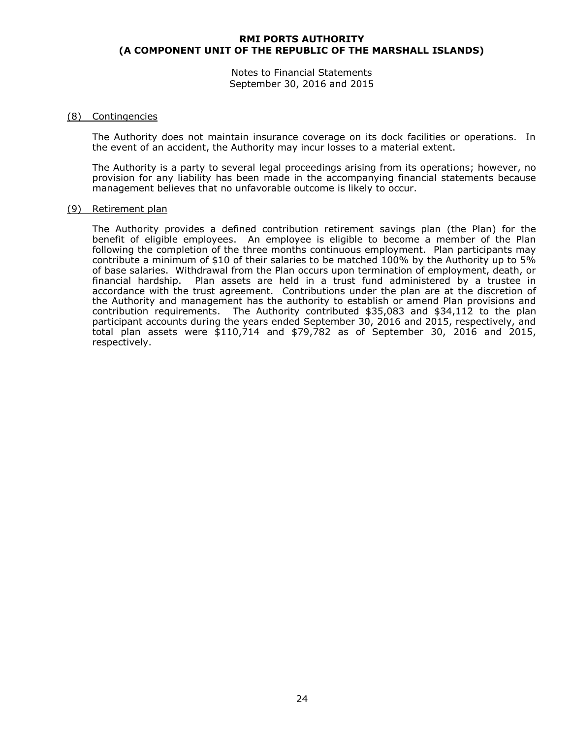Notes to Financial Statements September 30, 2016 and 2015

#### (8) Contingencies

The Authority does not maintain insurance coverage on its dock facilities or operations. In the event of an accident, the Authority may incur losses to a material extent.

The Authority is a party to several legal proceedings arising from its operations; however, no provision for any liability has been made in the accompanying financial statements because management believes that no unfavorable outcome is likely to occur.

#### (9) Retirement plan

The Authority provides a defined contribution retirement savings plan (the Plan) for the benefit of eligible employees. An employee is eligible to become a member of the Plan following the completion of the three months continuous employment. Plan participants may contribute a minimum of \$10 of their salaries to be matched 100% by the Authority up to 5% of base salaries. Withdrawal from the Plan occurs upon termination of employment, death, or financial hardship. Plan assets are held in a trust fund administered by a trustee in accordance with the trust agreement. Contributions under the plan are at the discretion of the Authority and management has the authority to establish or amend Plan provisions and contribution requirements. The Authority contributed \$35,083 and \$34,112 to the plan participant accounts during the years ended September 30, 2016 and 2015, respectively, and total plan assets were \$110,714 and \$79,782 as of September 30, 2016 and 2015, respectively.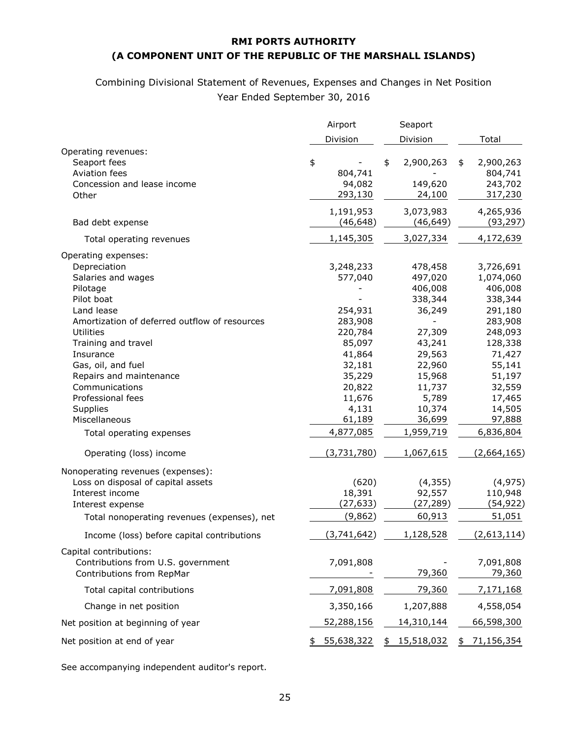# Combining Divisional Statement of Revenues, Expenses and Changes in Net Position Year Ended September 30, 2016

|                                               | Airport     | Seaport          |                  |
|-----------------------------------------------|-------------|------------------|------------------|
|                                               | Division    | Division         | Total            |
| Operating revenues:                           |             |                  |                  |
| Seaport fees                                  | \$          | \$<br>2,900,263  | 2,900,263<br>\$  |
| Aviation fees                                 | 804,741     |                  | 804,741          |
| Concession and lease income                   | 94,082      | 149,620          | 243,702          |
| Other                                         | 293,130     | 24,100           | 317,230          |
|                                               | 1,191,953   | 3,073,983        | 4,265,936        |
| Bad debt expense                              | (46, 648)   | (46, 649)        | (93, 297)        |
| Total operating revenues                      | 1,145,305   | 3,027,334        | 4,172,639        |
| Operating expenses:                           |             |                  |                  |
| Depreciation                                  | 3,248,233   | 478,458          | 3,726,691        |
| Salaries and wages                            | 577,040     | 497,020          | 1,074,060        |
| Pilotage                                      |             | 406,008          | 406,008          |
| Pilot boat                                    |             | 338,344          | 338,344          |
| Land lease                                    | 254,931     | 36,249           | 291,180          |
| Amortization of deferred outflow of resources | 283,908     |                  | 283,908          |
| Utilities                                     | 220,784     | 27,309           | 248,093          |
| Training and travel                           | 85,097      | 43,241           | 128,338          |
| Insurance                                     | 41,864      | 29,563           | 71,427           |
| Gas, oil, and fuel                            | 32,181      | 22,960           | 55,141           |
| Repairs and maintenance                       | 35,229      | 15,968           | 51,197           |
| Communications                                | 20,822      | 11,737           | 32,559           |
| Professional fees                             | 11,676      | 5,789            | 17,465           |
| Supplies                                      | 4,131       | 10,374           | 14,505           |
| Miscellaneous                                 | 61,189      | 36,699           | 97,888           |
| Total operating expenses                      | 4,877,085   | 1,959,719        | 6,836,804        |
| Operating (loss) income                       | (3,731,780) | 1,067,615        | (2,664,165)      |
| Nonoperating revenues (expenses):             |             |                  |                  |
| Loss on disposal of capital assets            | (620)       | (4, 355)         | (4, 975)         |
| Interest income                               | 18,391      | 92,557           | 110,948          |
| Interest expense                              | (27,633)    | (27, 289)        | (54,922)         |
| Total nonoperating revenues (expenses), net   | (9,862)     | 60,913           | 51,051           |
| Income (loss) before capital contributions    | (3,741,642) | 1,128,528        | (2,613,114)      |
| Capital contributions:                        |             |                  |                  |
| Contributions from U.S. government            | 7,091,808   |                  | 7,091,808        |
| Contributions from RepMar                     |             | 79,360           | 79,360           |
| Total capital contributions                   | 7,091,808   | 79,360           | 7,171,168        |
|                                               |             |                  |                  |
| Change in net position                        | 3,350,166   | 1,207,888        | 4,558,054        |
| Net position at beginning of year             | 52,288,156  | 14,310,144       | 66,598,300       |
| Net position at end of year                   | 55,638,322  | 15,518,032<br>\$ | 71,156,354<br>\$ |

See accompanying independent auditor's report.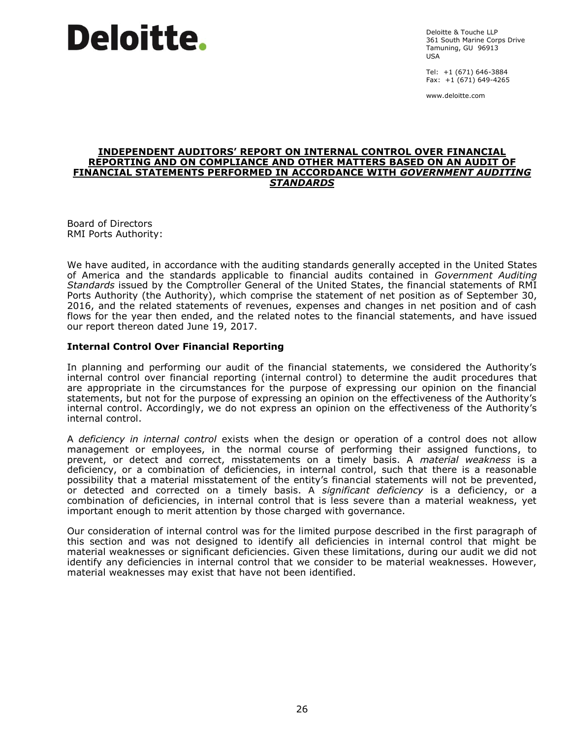# **Deloitte.**

Deloitte & Touche LLP 361 South Marine Corps Drive Tamuning, GU 96913 USA

Tel: +1 (671) 646-3884 Fax: +1 (671) 649-4265

www.deloitte.com

#### **INDEPENDENT AUDITORS' REPORT ON INTERNAL CONTROL OVER FINANCIAL REPORTING AND ON COMPLIANCE AND OTHER MATTERS BASED ON AN AUDIT OF FINANCIAL STATEMENTS PERFORMED IN ACCORDANCE WITH** *GOVERNMENT AUDITING STANDARDS*

Board of Directors RMI Ports Authority:

We have audited, in accordance with the auditing standards generally accepted in the United States of America and the standards applicable to financial audits contained in *Government Auditing Standards* issued by the Comptroller General of the United States, the financial statements of RMI Ports Authority (the Authority), which comprise the statement of net position as of September 30, 2016, and the related statements of revenues, expenses and changes in net position and of cash flows for the year then ended, and the related notes to the financial statements, and have issued our report thereon dated June 19, 2017.

# **Internal Control Over Financial Reporting**

In planning and performing our audit of the financial statements, we considered the Authority's internal control over financial reporting (internal control) to determine the audit procedures that are appropriate in the circumstances for the purpose of expressing our opinion on the financial statements, but not for the purpose of expressing an opinion on the effectiveness of the Authority's internal control. Accordingly, we do not express an opinion on the effectiveness of the Authority's internal control.

A *deficiency in internal control* exists when the design or operation of a control does not allow management or employees, in the normal course of performing their assigned functions, to prevent, or detect and correct, misstatements on a timely basis. A *material weakness* is a deficiency, or a combination of deficiencies, in internal control, such that there is a reasonable possibility that a material misstatement of the entity's financial statements will not be prevented, or detected and corrected on a timely basis. A *significant deficiency* is a deficiency, or a combination of deficiencies, in internal control that is less severe than a material weakness, yet important enough to merit attention by those charged with governance.

Our consideration of internal control was for the limited purpose described in the first paragraph of this section and was not designed to identify all deficiencies in internal control that might be material weaknesses or significant deficiencies. Given these limitations, during our audit we did not identify any deficiencies in internal control that we consider to be material weaknesses. However, material weaknesses may exist that have not been identified.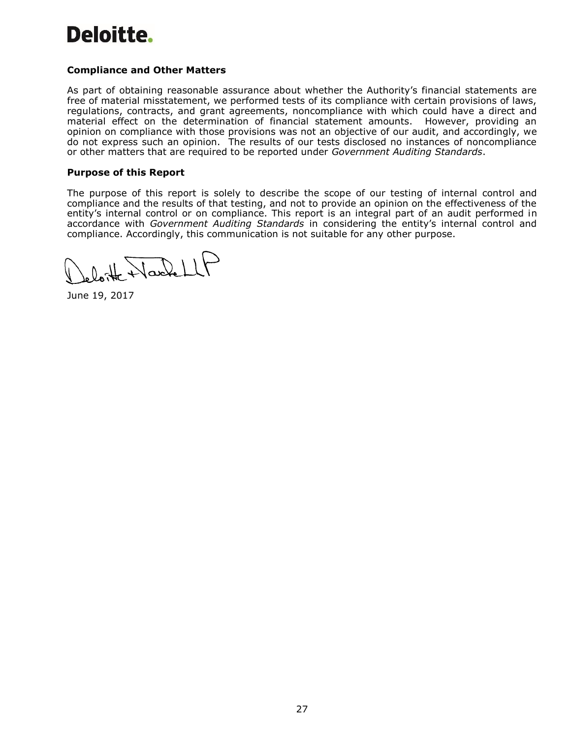# Deloitte.

# **Compliance and Other Matters**

As part of obtaining reasonable assurance about whether the Authority's financial statements are free of material misstatement, we performed tests of its compliance with certain provisions of laws, regulations, contracts, and grant agreements, noncompliance with which could have a direct and material effect on the determination of financial statement amounts. However, providing an opinion on compliance with those provisions was not an objective of our audit, and accordingly, we do not express such an opinion. The results of our tests disclosed no instances of noncompliance or other matters that are required to be reported under *Government Auditing Standards*.

# **Purpose of this Report**

The purpose of this report is solely to describe the scope of our testing of internal control and compliance and the results of that testing, and not to provide an opinion on the effectiveness of the entity's internal control or on compliance. This report is an integral part of an audit performed in accordance with *Government Auditing Standards* in considering the entity's internal control and compliance. Accordingly, this communication is not suitable for any other purpose.

lotte Wackell

June 19, 2017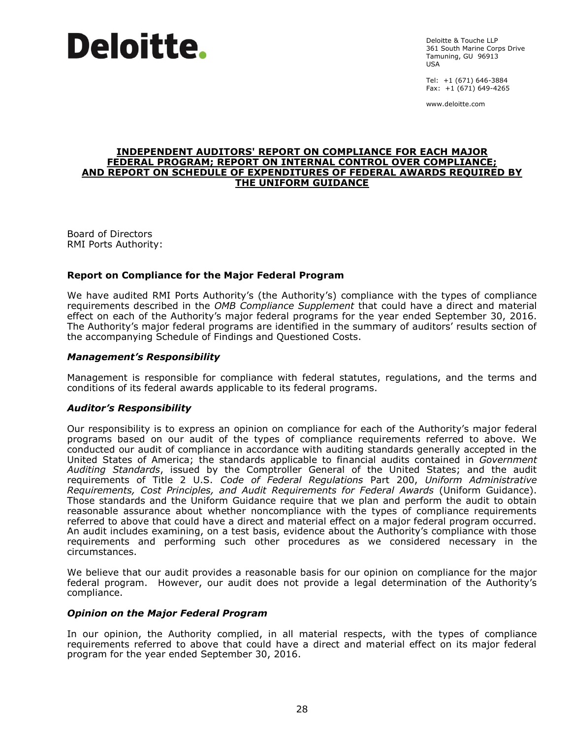

Deloitte & Touche LLP 361 South Marine Corps Drive Tamuning, GU 96913 USA

Tel: +1 (671) 646-3884 Fax: +1 (671) 649-4265

www.deloitte.com

#### **INDEPENDENT AUDITORS' REPORT ON COMPLIANCE FOR EACH MAJOR FEDERAL PROGRAM; REPORT ON INTERNAL CONTROL OVER COMPLIANCE; AND REPORT ON SCHEDULE OF EXPENDITURES OF FEDERAL AWARDS REQUIRED BY THE UNIFORM GUIDANCE**

Board of Directors RMI Ports Authority:

# **Report on Compliance for the Major Federal Program**

We have audited RMI Ports Authority's (the Authority's) compliance with the types of compliance requirements described in the *OMB Compliance Supplement* that could have a direct and material effect on each of the Authority's major federal programs for the year ended September 30, 2016. The Authority's major federal programs are identified in the summary of auditors' results section of the accompanying Schedule of Findings and Questioned Costs.

# *Management's Responsibility*

Management is responsible for compliance with federal statutes, regulations, and the terms and conditions of its federal awards applicable to its federal programs.

#### *Auditor's Responsibility*

Our responsibility is to express an opinion on compliance for each of the Authority's major federal programs based on our audit of the types of compliance requirements referred to above. We conducted our audit of compliance in accordance with auditing standards generally accepted in the United States of America; the standards applicable to financial audits contained in *Government Auditing Standards*, issued by the Comptroller General of the United States; and the audit requirements of Title 2 U.S. *Code of Federal Regulations* Part 200, *Uniform Administrative Requirements, Cost Principles, and Audit Requirements for Federal Awards* (Uniform Guidance). Those standards and the Uniform Guidance require that we plan and perform the audit to obtain reasonable assurance about whether noncompliance with the types of compliance requirements referred to above that could have a direct and material effect on a major federal program occurred. An audit includes examining, on a test basis, evidence about the Authority's compliance with those requirements and performing such other procedures as we considered necessary in the circumstances.

We believe that our audit provides a reasonable basis for our opinion on compliance for the major federal program. However, our audit does not provide a legal determination of the Authority's compliance.

#### *Opinion on the Major Federal Program*

In our opinion, the Authority complied, in all material respects, with the types of compliance requirements referred to above that could have a direct and material effect on its major federal program for the year ended September 30, 2016.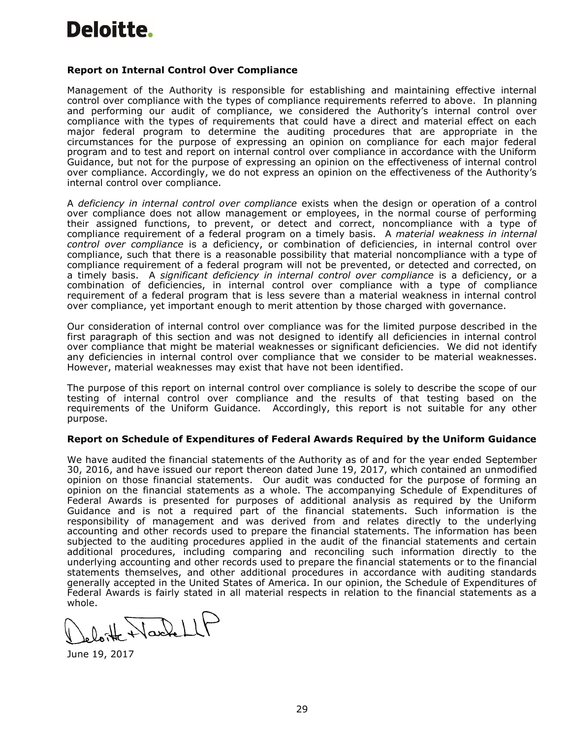# Deloitte.

# **Report on Internal Control Over Compliance**

Management of the Authority is responsible for establishing and maintaining effective internal control over compliance with the types of compliance requirements referred to above. In planning and performing our audit of compliance, we considered the Authority's internal control over compliance with the types of requirements that could have a direct and material effect on each major federal program to determine the auditing procedures that are appropriate in the circumstances for the purpose of expressing an opinion on compliance for each major federal program and to test and report on internal control over compliance in accordance with the Uniform Guidance, but not for the purpose of expressing an opinion on the effectiveness of internal control over compliance. Accordingly, we do not express an opinion on the effectiveness of the Authority's internal control over compliance.

A *deficiency in internal control over compliance* exists when the design or operation of a control over compliance does not allow management or employees, in the normal course of performing their assigned functions, to prevent, or detect and correct, noncompliance with a type of compliance requirement of a federal program on a timely basis. A *material weakness in internal control over compliance* is a deficiency, or combination of deficiencies, in internal control over compliance, such that there is a reasonable possibility that material noncompliance with a type of compliance requirement of a federal program will not be prevented, or detected and corrected, on a timely basis. A *significant deficiency in internal control over compliance* is a deficiency, or a combination of deficiencies, in internal control over compliance with a type of compliance requirement of a federal program that is less severe than a material weakness in internal control over compliance, yet important enough to merit attention by those charged with governance.

Our consideration of internal control over compliance was for the limited purpose described in the first paragraph of this section and was not designed to identify all deficiencies in internal control over compliance that might be material weaknesses or significant deficiencies. We did not identify any deficiencies in internal control over compliance that we consider to be material weaknesses. However, material weaknesses may exist that have not been identified.

The purpose of this report on internal control over compliance is solely to describe the scope of our testing of internal control over compliance and the results of that testing based on the requirements of the Uniform Guidance. Accordingly, this report is not suitable for any other purpose.

# **Report on Schedule of Expenditures of Federal Awards Required by the Uniform Guidance**

We have audited the financial statements of the Authority as of and for the year ended September 30, 2016, and have issued our report thereon dated June 19, 2017, which contained an unmodified opinion on those financial statements. Our audit was conducted for the purpose of forming an opinion on the financial statements as a whole. The accompanying Schedule of Expenditures of Federal Awards is presented for purposes of additional analysis as required by the Uniform Guidance and is not a required part of the financial statements. Such information is the responsibility of management and was derived from and relates directly to the underlying accounting and other records used to prepare the financial statements. The information has been subjected to the auditing procedures applied in the audit of the financial statements and certain additional procedures, including comparing and reconciling such information directly to the underlying accounting and other records used to prepare the financial statements or to the financial statements themselves, and other additional procedures in accordance with auditing standards generally accepted in the United States of America. In our opinion, the Schedule of Expenditures of Federal Awards is fairly stated in all material respects in relation to the financial statements as a whole.

Jackel

June 19, 2017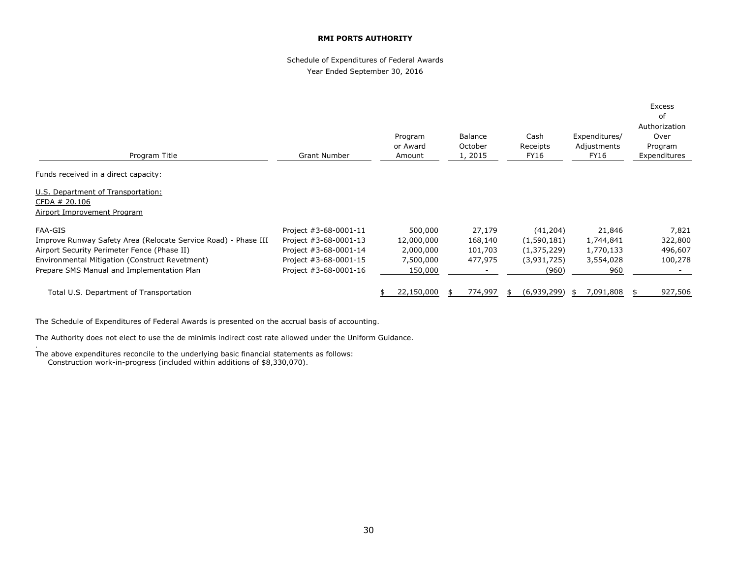#### **RMI PORTS AUTHORITY**

#### Schedule of Expenditures of Federal Awards Year Ended September 30, 2016

| Program Title                                                                      | <b>Grant Number</b>     | Program<br>or Award<br>Amount | Balance<br>October<br>1, 2015 | Cash<br>Receipts<br>FY16 | Expenditures/<br>Adjustments<br>FY16 | Excess<br>οf<br>Authorization<br>Over<br>Program<br>Expenditures |
|------------------------------------------------------------------------------------|-------------------------|-------------------------------|-------------------------------|--------------------------|--------------------------------------|------------------------------------------------------------------|
| Funds received in a direct capacity:                                               |                         |                               |                               |                          |                                      |                                                                  |
| U.S. Department of Transportation:<br>CFDA # 20.106<br>Airport Improvement Program |                         |                               |                               |                          |                                      |                                                                  |
| FAA-GIS                                                                            | Project $#3-68-0001-11$ | 500,000                       | 27,179                        | (41, 204)                | 21,846                               | 7,821                                                            |
| Improve Runway Safety Area (Relocate Service Road) - Phase III                     | Project #3-68-0001-13   | 12,000,000                    | 168,140                       | (1,590,181)              | 1,744,841                            | 322,800                                                          |
| Airport Security Perimeter Fence (Phase II)                                        | Project #3-68-0001-14   | 2,000,000                     | 101,703                       | (1,375,229)              | 1,770,133                            | 496,607                                                          |
| Environmental Mitigation (Construct Revetment)                                     | Project #3-68-0001-15   | 7,500,000                     | 477,975                       | (3,931,725)              | 3,554,028                            | 100,278                                                          |
| Prepare SMS Manual and Implementation Plan                                         | Project #3-68-0001-16   | 150,000                       |                               | (960)                    | 960                                  |                                                                  |
| Total U.S. Department of Transportation                                            |                         | 22,150,000                    | 774,997                       | (6,939,299)              | 7,091,808<br>ு                       | 927,506                                                          |

The Schedule of Expenditures of Federal Awards is presented on the accrual basis of accounting.

The Authority does not elect to use the de minimis indirect cost rate allowed under the Uniform Guidance.

The above expenditures reconcile to the underlying basic financial statements as follows: Construction work-in-progress (included within additions of \$8,330,070).

.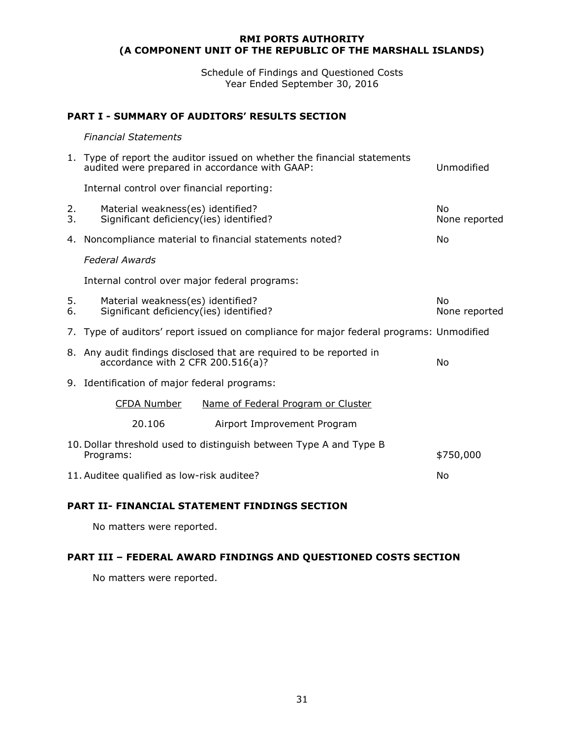Schedule of Findings and Questioned Costs Year Ended September 30, 2016

# **PART I - SUMMARY OF AUDITORS' RESULTS SECTION**

# *Financial Statements*

|          | 1. Type of report the auditor issued on whether the financial statements<br>audited were prepared in accordance with GAAP: | Unmodified          |
|----------|----------------------------------------------------------------------------------------------------------------------------|---------------------|
|          | Internal control over financial reporting:                                                                                 |                     |
| 2.<br>3. | Material weakness(es) identified?<br>Significant deficiency(ies) identified?                                               | No<br>None reported |
|          | 4. Noncompliance material to financial statements noted?                                                                   | No                  |
|          | <b>Federal Awards</b>                                                                                                      |                     |
|          | Internal control over major federal programs:                                                                              |                     |
| 5.<br>6. | Material weakness(es) identified?<br>Significant deficiency(ies) identified?                                               | No<br>None reported |
|          | 7. Type of auditors' report issued on compliance for major federal programs: Unmodified                                    |                     |
|          | 8. Any audit findings disclosed that are required to be reported in<br>accordance with 2 CFR 200.516(a)?                   | No                  |
|          | 9. Identification of major federal programs:                                                                               |                     |
|          | <b>CFDA Number</b><br>Name of Federal Program or Cluster                                                                   |                     |
|          | 20.106<br>Airport Improvement Program                                                                                      |                     |
|          | 10. Dollar threshold used to distinguish between Type A and Type B<br>Programs:                                            | \$750,000           |
|          | 11. Auditee qualified as low-risk auditee?                                                                                 | No                  |

# **PART II- FINANCIAL STATEMENT FINDINGS SECTION**

No matters were reported.

# **PART III – FEDERAL AWARD FINDINGS AND QUESTIONED COSTS SECTION**

No matters were reported.